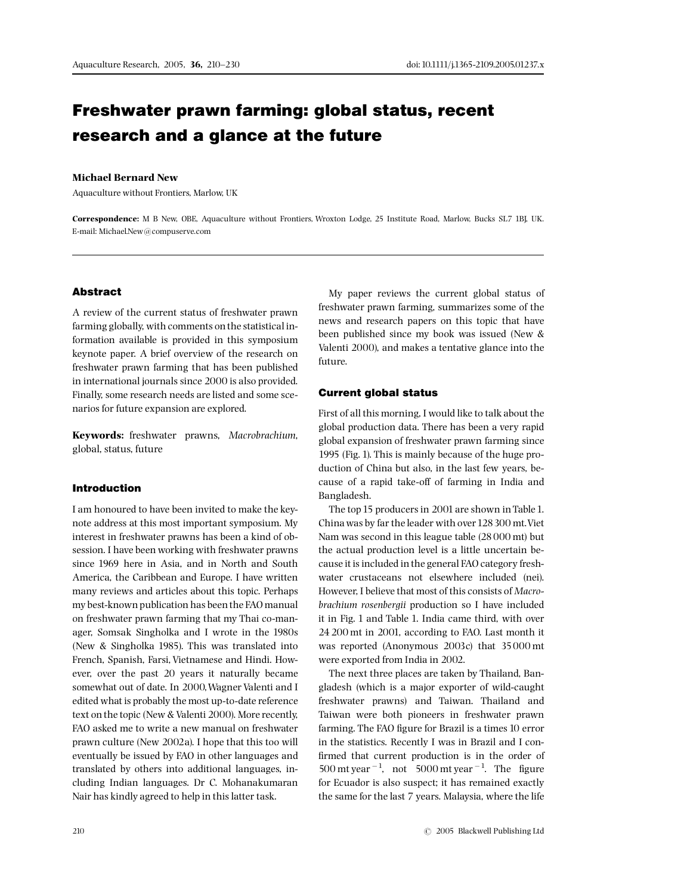# Freshwater prawn farming: global status, recent research and a glance at the future

### Michael Bernard New

Aquaculture without Frontiers, Marlow, UK

Correspondence: M B New, OBE, Aquaculture without Frontiers, Wroxton Lodge, 25 Institute Road, Marlow, Bucks SL7 1BJ, UK. E-mail: Michael\_New@compuserve.com

## Abstract

A review of the current status of freshwater prawn farming globally, with comments on the statistical information available is provided in this symposium keynote paper. A brief overview of the research on freshwater prawn farming that has been published in international journals since 2000 is also provided. Finally, some research needs are listed and some scenarios for future expansion are explored.

Keywords: freshwater prawns, Macrobrachium, global, status, future

## Introduction

I am honoured to have been invited to make the keynote address at this most important symposium. My interest in freshwater prawns has been a kind of obsession. I have been working with freshwater prawns since 1969 here in Asia, and in North and South America, the Caribbean and Europe. I have written many reviews and articles about this topic. Perhaps my best-known publication has been the FAO manual on freshwater prawn farming that my Thai co-manager, Somsak Singholka and I wrote in the 1980s (New & Singholka 1985). This was translated into French, Spanish, Farsi, Vietnamese and Hindi. However, over the past 20 years it naturally became somewhat out of date. In 2000,Wagner Valenti and I edited what is probably the most up-to-date reference text on the topic (New & Valenti 2000). More recently, FAO asked me to write a new manual on freshwater prawn culture (New 2002a). I hope that this too will eventually be issued by FAO in other languages and translated by others into additional languages, including Indian languages. Dr C. Mohanakumaran Nair has kindly agreed to help in this latter task.

My paper reviews the current global status of freshwater prawn farming, summarizes some of the news and research papers on this topic that have been published since my book was issued (New & Valenti 2000), and makes a tentative glance into the future.

## Current global status

First of all this morning, I would like to talk about the global production data. There has been a very rapid global expansion of freshwater prawn farming since 1995 (Fig. 1). This is mainly because of the huge production of China but also, in the last few years, because of a rapid take-off of farming in India and Bangladesh.

The top 15 producers in 2001 are shown in Table 1. China was by far the leader with over128300 mt.Viet Nam was second in this league table (28000 mt) but the actual production level is a little uncertain because it is included in the general FAO category freshwater crustaceans not elsewhere included (nei). However, I believe that most of this consists of Macrobrachium rosenbergii production so I have included it in Fig. 1 and Table 1. India came third, with over 24 200 mt in 2001, according to FAO. Last month it was reported (Anonymous 2003c) that 35000 mt were exported from India in 2002.

The next three places are taken by Thailand, Bangladesh (which is a major exporter of wild-caught freshwater prawns) and Taiwan. Thailand and Taiwan were both pioneers in freshwater prawn farming. The FAO figure for Brazil is a times 10 error in the statistics. Recently I was in Brazil and I con firmed that current production is in the order of  $500$  mt year<sup>-1</sup>, not  $5000$  mt year<sup>-1</sup>. The figure for Ecuador is also suspect; it has remained exactly the same for the last 7 years. Malaysia, where the life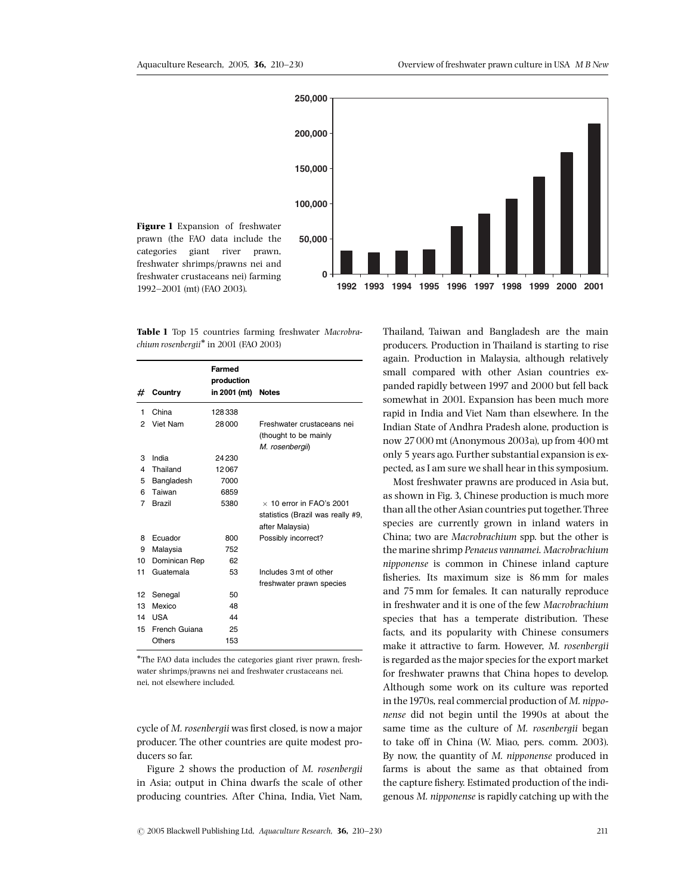

Table 1 Top 15 countries farming freshwater Macrobra $chium rosenbergii*$  in 2001 (FAO 2003)

| #  | Country       | Farmed<br>production<br>in 2001 (mt) | <b>Notes</b>                      |
|----|---------------|--------------------------------------|-----------------------------------|
|    |               |                                      |                                   |
| 1  | China         | 128338                               |                                   |
| 2  | Viet Nam      | 28000                                | Freshwater crustaceans nei        |
|    |               |                                      | (thought to be mainly             |
|    |               |                                      | M. rosenbergii)                   |
| 3  | India         | 24230                                |                                   |
| 4  | Thailand      | 12067                                |                                   |
| 5  | Bangladesh    | 7000                                 |                                   |
| 6  | Taiwan        | 6859                                 |                                   |
| 7  | Brazil        | 5380                                 | $\times$ 10 error in FAO's 2001   |
|    |               |                                      | statistics (Brazil was really #9, |
|    |               |                                      | after Malaysia)                   |
| 8  | Ecuador       | 800                                  | Possibly incorrect?               |
| 9  | Malaysia      | 752                                  |                                   |
| 10 | Dominican Rep | 62                                   |                                   |
| 11 | Guatemala     | 53                                   | Includes 3 mt of other            |
|    |               |                                      | freshwater prawn species          |
| 12 | Senegal       | 50                                   |                                   |
| 13 | Mexico        | 48                                   |                                   |
| 14 | <b>USA</b>    | 44                                   |                                   |
| 15 | French Guiana | 25                                   |                                   |
|    | <b>Others</b> | 153                                  |                                   |

The FAO data includes the categories giant river prawn, freshwater shrimps/prawns nei and freshwater crustaceans nei. nei, not elsewhere included.

cycle of M. rosenbergii was first closed, is now a major producer. The other countries are quite modest producers so far.

Figure 2 shows the production of M. rosenbergii in Asia; output in China dwarfs the scale of other producing countries. After China, India, Viet Nam,

Thailand, Taiwan and Bangladesh are the main producers. Production in Thailand is starting to rise again. Production in Malaysia, although relatively small compared with other Asian countries expanded rapidly between 1997 and 2000 but fell back somewhat in 2001. Expansion has been much more rapid in India and Viet Nam than elsewhere. In the Indian State of Andhra Pradesh alone, production is now 27000 mt (Anonymous 2003a), up from 400 mt only 5 years ago. Further substantial expansion is expected, as I am sure we shall hear in this symposium.

Most freshwater prawns are produced in Asia but, as shown in Fig. 3, Chinese production is much more than all the other Asian countries put together. Three species are currently grown in inland waters in China; two are Macrobrachium spp. but the other is the marine shrimp Penaeus vannamei. Macrobrachium nipponense is common in Chinese inland capture fisheries. Its maximum size is 86 mm for males and 75 mm for females. It can naturally reproduce in freshwater and it is one of the few Macrobrachium species that has a temperate distribution. These facts, and its popularity with Chinese consumers make it attractive to farm. However, M. rosenbergii is regarded as the major species for the export market for freshwater prawns that China hopes to develop. Although some work on its culture was reported in the 1970s, real commercial production of M. nipponense did not begin until the 1990s at about the same time as the culture of M. rosenbergii began to take off in China (W. Miao, pers. comm. 2003). By now, the quantity of M. nipponense produced in farms is about the same as that obtained from the capture fishery. Estimated production of the indigenous M. nipponense is rapidly catching up with the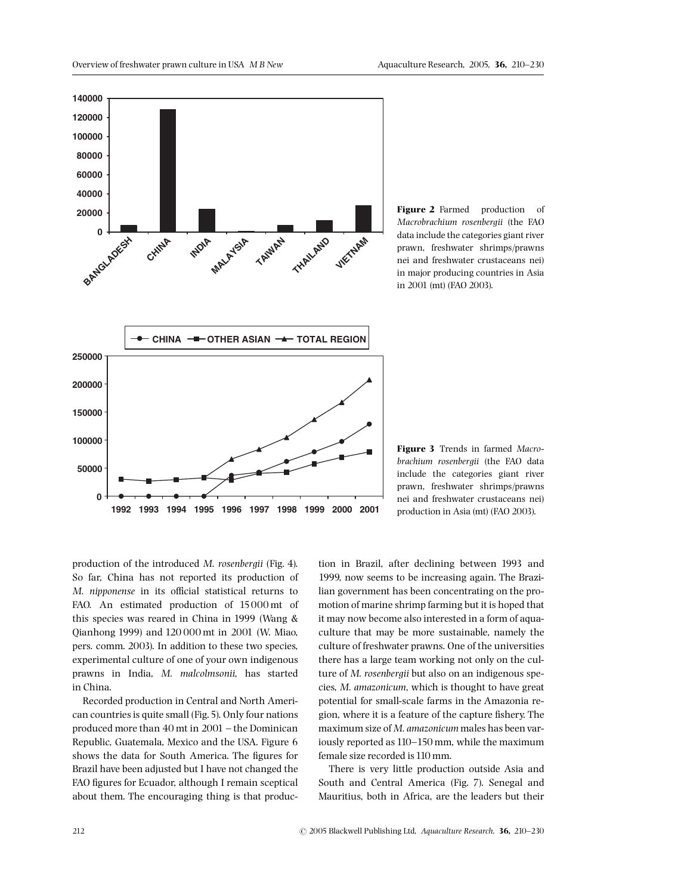

Figure 2 Farmed production of Macrobrachium rosenbergii (the FAO data include the categories giant river prawn, freshwater shrimps/prawns nei and freshwater crustaceans nei) in major producing countries in Asia in 2001 (mt) (FAO 2003).



Figure 3 Trends in farmed Macrobrachium rosenbergii (the FAO data include the categories giant river prawn, freshwater shrimps/prawns nei and freshwater crustaceans nei) production in Asia (mt) (FAO 2003).

production of the introduced M. rosenbergii (Fig. 4). So far, China has not reported its production of M. nipponense in its official statistical returns to FAO. An estimated production of 15000 mt of this species was reared in China in 1999 (Wang & Qianhong 1999) and 120 000 mt in 2001 (W. Miao, pers. comm. 2003). In addition to these two species, experimental culture of one of your own indigenous prawns in India, M. malcolmsonii, has started in China.

Recorded production in Central and North American countries is quite small (Fig.5). Only four nations produced more than 40 mt in 2001 - the Dominican Republic, Guatemala, Mexico and the USA. Figure 6 shows the data for South America. The figures for Brazil have been adjusted but I have not changed the FAO figures for Ecuador, although I remain sceptical about them. The encouraging thing is that production in Brazil, after declining between 1993 and 1999, now seems to be increasing again. The Brazilian government has been concentrating on the promotion of marine shrimp farming but it is hoped that it may now become also interested in a form of aquaculture that may be more sustainable, namely the culture of freshwater prawns. One of the universities there has a large team working not only on the culture of M. rosenbergii but also on an indigenous species, M. amazonicum, which is thought to have great potential for small-scale farms in the Amazonia region, where it is a feature of the capture fishery. The maximum size of M. amazonicum males has been variously reported as 110^150 mm, while the maximum female size recorded is 110 mm.

There is very little production outside Asia and South and Central America (Fig. 7). Senegal and Mauritius, both in Africa, are the leaders but their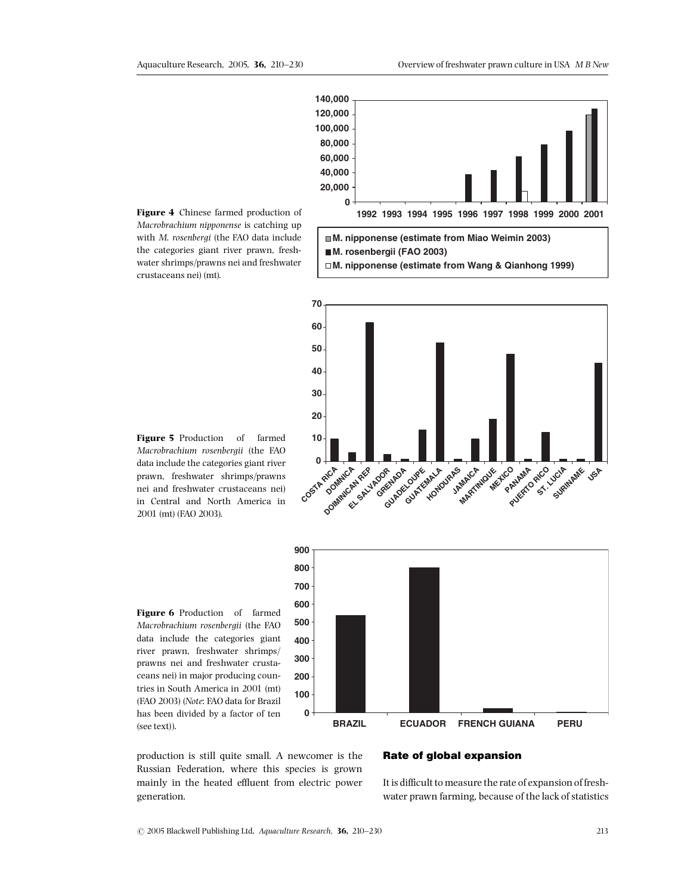

Macrobrachium nipponense is catching up with M. rosenbergi (the FAO data include the categories giant river prawn, freshwater shrimps/prawns nei and freshwater crustaceans nei) (mt).

**70**



**10 20 30 40 50 60 0** COSTA RICA **DOMINICATION EL SALVADOR GRENADA GUADELOUPE** GUATEMALA DRAS **JAMAICA MARTINIQUE MEXICO ANALA PANAMA**<br>PANAMO RICO **ST. LUCIA SURINAME** Figure 5 Production of farmed Macrobrachium rosenbergii (the FAO data include the categories giant river prawn, freshwater shrimps/prawns nei and freshwater crustaceans nei) in Central and North America in



Figure 6 Production of farmed Macrobrachium rosenbergii (the FAO data include the categories giant river prawn, freshwater shrimps/ prawns nei and freshwater crustaceans nei) in major producing countries in South America in 2001 (mt) (FAO 2003) (Note: FAO data for Brazil has been divided by a factor of ten (see text)).

2001 (mt) (FAO 2003).

production is still quite small. A newcomer is the Russian Federation, where this species is grown mainly in the heated effluent from electric power generation.

# Rate of global expansion

It is difficult to measure the rate of expansion of freshwater prawn farming, because of the lack of statistics

**USA**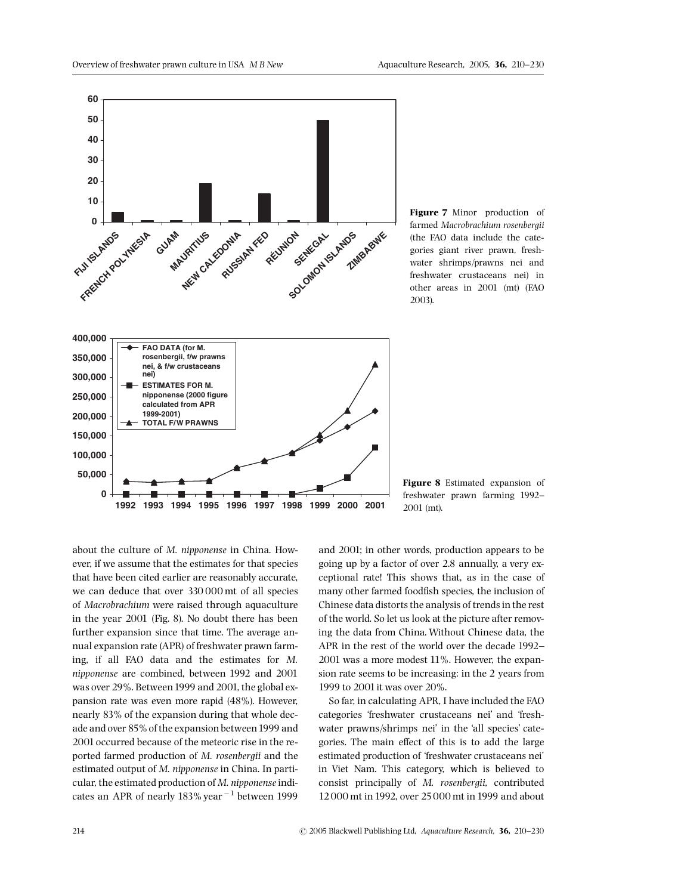

Figure 7 Minor production of farmed Macrobrachium rosenbergii (the FAO data include the categories giant river prawn, freshwater shrimps/prawns nei and freshwater crustaceans nei) in other areas in 2001 (mt) (FAO 2003).

Figure 8 Estimated expansion of freshwater prawn farming 1992-2001 (mt).

about the culture of M. nipponense in China. However, if we assume that the estimates for that species that have been cited earlier are reasonably accurate, we can deduce that over 330 000 mt of all species of Macrobrachium were raised through aquaculture in the year 2001 (Fig. 8). No doubt there has been further expansion since that time. The average annual expansion rate (APR) of freshwater prawn farming, if all FAO data and the estimates for M. nipponense are combined, between 1992 and 2001 was over 29%. Between 1999 and 2001, the global expansion rate was even more rapid (48%). However, nearly 83% of the expansion during that whole decade and over 85% of the expansion between1999 and 2001 occurred because of the meteoric rise in the reported farmed production of M. rosenbergii and the estimated output of M. nipponense in China. In particular, the estimated production of  $M$ . nipponense indicates an APR of nearly  $183\%$  year<sup> $-1$ </sup> between 1999

and 2001; in other words, production appears to be going up by a factor of over 2.8 annually, a very exceptional rate! This shows that, as in the case of many other farmed foodfish species, the inclusion of Chinese data distorts the analysis of trends in the rest of the world. So let us look at the picture after removing the data from China. Without Chinese data, the APR in the rest of the world over the decade 1992– 2001 was a more modest 11%. However, the expansion rate seems to be increasing: in the 2 years from 1999 to 2001 it was over 20%.

So far, in calculating APR, I have included the FAO categories 'freshwater crustaceans nei' and 'freshwater prawns/shrimps nei' in the 'all species' categories. The main effect of this is to add the large estimated production of 'freshwater crustaceans nei' in Viet Nam. This category, which is believed to consist principally of M. rosenbergii, contributed 12000 mt in 1992, over 25000 mt in 1999 and about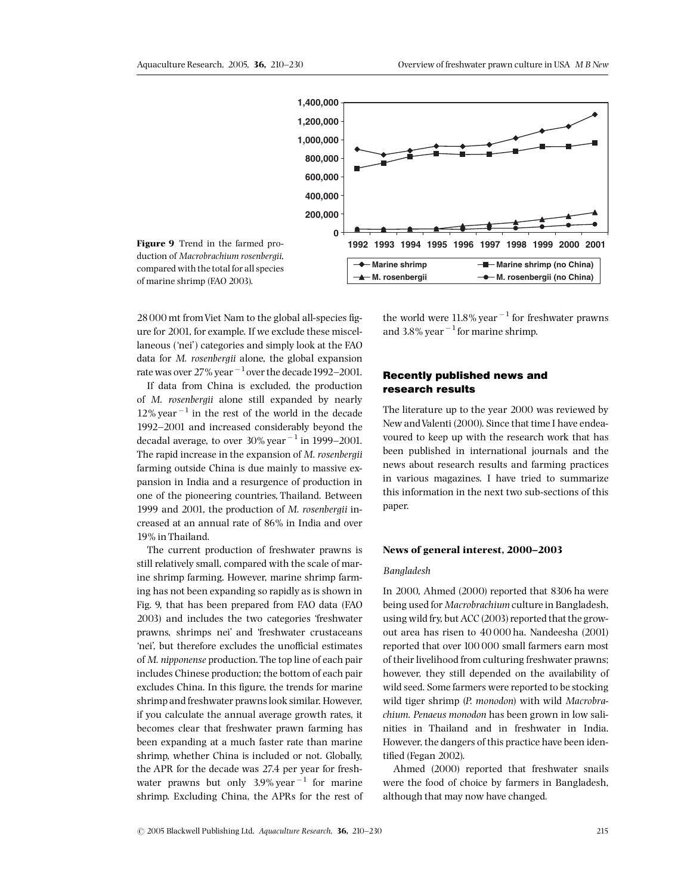

Figure 9 Trend in the farmed production of Macrobrachium rosenbergii, compared with the total for all species of marine shrimp (FAO 2003).

28000 mt from Viet Nam to the global all-species figure for 2001, for example. If we exclude these miscellaneous ('nei') categories and simply look at the FAO data for M. rosenbergii alone, the global expansion rate was over  $27\%$  year  $^{-1}$  over the decade 1992-2001.

If data from China is excluded, the production of M. rosenbergii alone still expanded by nearly  $12\%$  year<sup> $-1$ </sup> in the rest of the world in the decade 1992-2001 and increased considerably beyond the decadal average, to over  $30\%$  year<sup> $-1$ </sup> in 1999-2001. The rapid increase in the expansion of M. rosenbergii farming outside China is due mainly to massive expansion in India and a resurgence of production in one of the pioneering countries, Thailand. Between 1999 and 2001, the production of M. rosenbergii increased at an annual rate of 86% in India and over 19% in Thailand.

The current production of freshwater prawns is still relatively small, compared with the scale of marine shrimp farming. However, marine shrimp farming has not been expanding so rapidly as is shown in Fig. 9, that has been prepared from FAO data (FAO 2003) and includes the two categories 'freshwater prawns, shrimps nei' and 'freshwater crustaceans 'nei', but therefore excludes the unofficial estimates of M. nipponense production. The top line of each pair includes Chinese production; the bottom of each pair excludes China. In this figure, the trends for marine shrimp and freshwater prawns look similar. However, if you calculate the annual average growth rates, it becomes clear that freshwater prawn farming has been expanding at a much faster rate than marine shrimp, whether China is included or not. Globally, the APR for the decade was 27.4 per year for freshwater prawns but only  $3.9\%$  year<sup>-1</sup> for marine shrimp. Excluding China, the APRs for the rest of the world were  $11.8\%$  year<sup>-1</sup> for freshwater prawns and 3.8% year  $^{-1}$  for marine shrimp.

# Recently published news and research results

The literature up to the year 2000 was reviewed by New andValenti (2000). Since that time I have endeavoured to keep up with the research work that has been published in international journals and the news about research results and farming practices in various magazines. I have tried to summarize this information in the next two sub-sections of this paper.

## News of general interest, 2000-2003

## Bangladesh

In 2000, Ahmed (2000) reported that 8306 ha were being used for Macrobrachium culture in Bangladesh, using wild fry, but ACC (2003) reported that the growout area has risen to 40 000 ha. Nandeesha (2001) reported that over 100 000 small farmers earn most of their livelihood from culturing freshwater prawns; however, they still depended on the availability of wild seed. Some farmers were reported to be stocking wild tiger shrimp (P. monodon) with wild Macrobrachium. Penaeus monodon has been grown in low salinities in Thailand and in freshwater in India. However, the dangers of this practice have been identified (Fegan 2002).

Ahmed (2000) reported that freshwater snails were the food of choice by farmers in Bangladesh, although that may now have changed.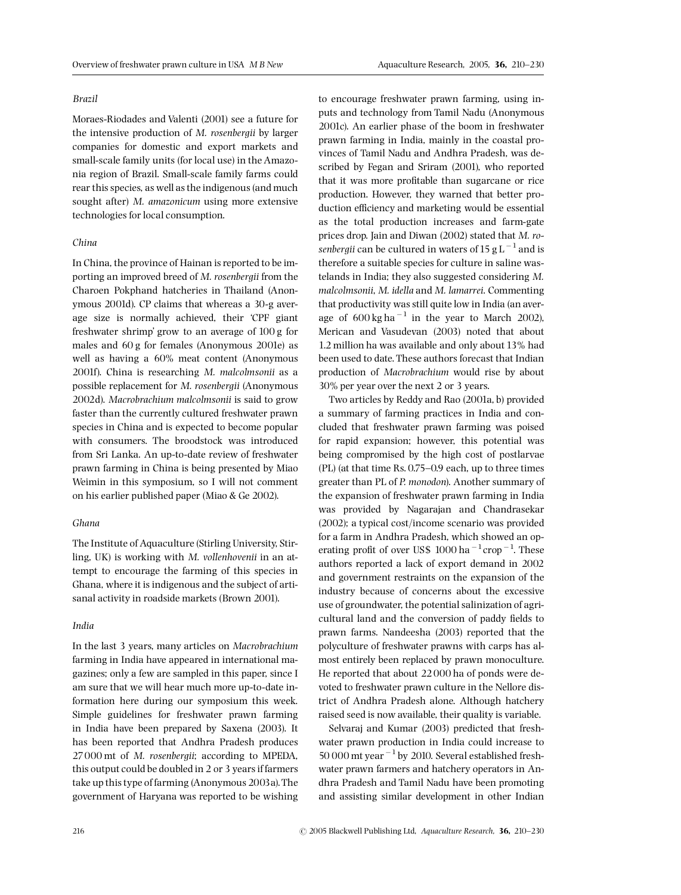#### Brazil

Moraes-Riodades and Valenti (2001) see a future for the intensive production of M. rosenbergii by larger companies for domestic and export markets and small-scale family units (for local use) in the Amazonia region of Brazil. Small-scale family farms could rear this species, as well as the indigenous (and much sought after) M. amazonicum using more extensive technologies for local consumption.

#### China

In China, the province of Hainan is reported to be importing an improved breed of M. rosenbergii from the Charoen Pokphand hatcheries in Thailand (Anonymous 2001d). CP claims that whereas a 30-g average size is normally achieved, their 'CPF giant freshwater shrimp' grow to an average of 100 g for males and 60 g for females (Anonymous 2001e) as well as having a 60% meat content (Anonymous 2001f). China is researching M. malcolmsonii as a possible replacement for M. rosenbergii (Anonymous 2002d). Macrobrachium malcolmsonii is said to grow faster than the currently cultured freshwater prawn species in China and is expected to become popular with consumers. The broodstock was introduced from Sri Lanka. An up-to-date review of freshwater prawn farming in China is being presented by Miao Weimin in this symposium, so I will not comment on his earlier published paper (Miao & Ge 2002).

## Ghana

The Institute of Aquaculture (Stirling University, Stirling, UK) is working with M. vollenhovenii in an attempt to encourage the farming of this species in Ghana, where it is indigenous and the subject of artisanal activity in roadside markets (Brown 2001).

#### India

In the last 3 years, many articles on Macrobrachium farming in India have appeared in international magazines; only a few are sampled in this paper, since I am sure that we will hear much more up-to-date information here during our symposium this week. Simple guidelines for freshwater prawn farming in India have been prepared by Saxena (2003). It has been reported that Andhra Pradesh produces 27000 mt of M. rosenbergii; according to MPEDA, this output could be doubled in 2 or 3 years if farmers take up this type of farming (Anonymous 2003a).The government of Haryana was reported to be wishing to encourage freshwater prawn farming, using inputs and technology from Tamil Nadu (Anonymous 2001c). An earlier phase of the boom in freshwater prawn farming in India, mainly in the coastal provinces of Tamil Nadu and Andhra Pradesh, was described by Fegan and Sriram (2001), who reported that it was more profitable than sugarcane or rice production. However, they warned that better production efficiency and marketing would be essential as the total production increases and farm-gate prices drop. Jain and Diwan (2002) stated that M. rosenbergii can be cultured in waters of 15 g L<sup> $-1$ </sup> and is therefore a suitable species for culture in saline wastelands in India; they also suggested considering M. malcolmsonii, M. idella and M. lamarrei. Commenting that productivity was still quite low in India (an average of  $600 \text{ kg ha}^{-1}$  in the year to March 2002), Merican and Vasudevan (2003) noted that about 1.2 million ha was available and only about 13% had been used to date. These authors forecast that Indian production of Macrobrachium would rise by about 30% per year over the next 2 or 3 years.

Two articles by Reddy and Rao (2001a, b) provided a summary of farming practices in India and concluded that freshwater prawn farming was poised for rapid expansion; however, this potential was being compromised by the high cost of postlarvae  $(PL)$  (at that time Rs. 0.75–0.9 each, up to three times greater than PL of P. monodon). Another summary of the expansion of freshwater prawn farming in India was provided by Nagarajan and Chandrasekar (2002); a typical cost/income scenario was provided for a farm in Andhra Pradesh, which showed an operating profit of over US\$  $1000$  ha<sup> $-1$ </sup> crop<sup> $-1$ </sup>. These authors reported a lack of export demand in 2002 and government restraints on the expansion of the industry because of concerns about the excessive use of groundwater, the potential salinization of agricultural land and the conversion of paddy fields to prawn farms. Nandeesha (2003) reported that the polyculture of freshwater prawns with carps has almost entirely been replaced by prawn monoculture. He reported that about 22000 ha of ponds were devoted to freshwater prawn culture in the Nellore district of Andhra Pradesh alone. Although hatchery raised seed is now available, their quality is variable.

Selvaraj and Kumar (2003) predicted that freshwater prawn production in India could increase to  $50000$  mt year  $^{-1}$  by 2010. Several established freshwater prawn farmers and hatchery operators in Andhra Pradesh and Tamil Nadu have been promoting and assisting similar development in other Indian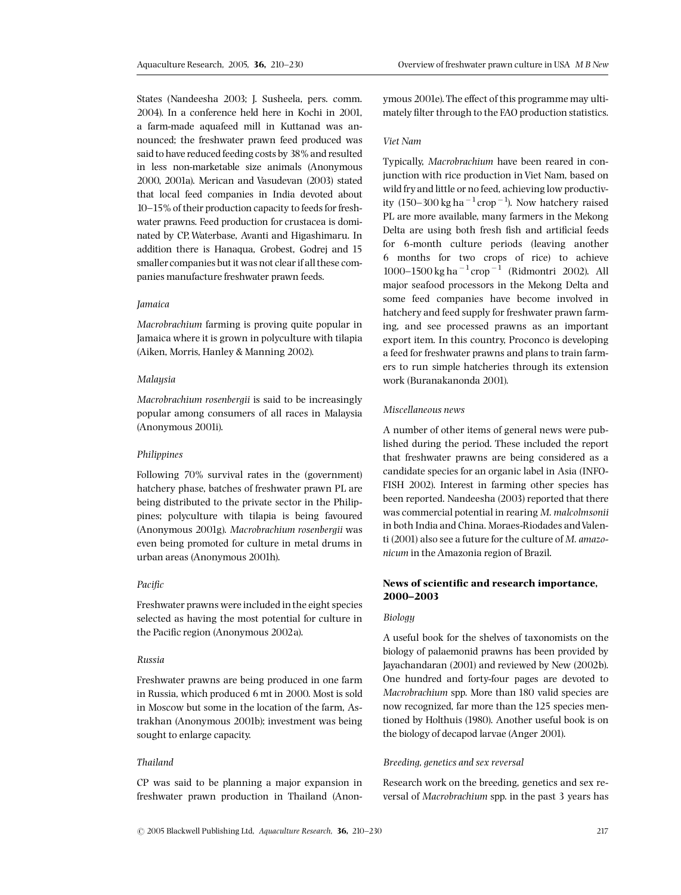States (Nandeesha 2003; J. Susheela, pers. comm. 2004). In a conference held here in Kochi in 2001, a farm-made aquafeed mill in Kuttanad was announced; the freshwater prawn feed produced was said to have reduced feeding costs by 38% and resulted in less non-marketable size animals (Anonymous 2000, 2001a). Merican and Vasudevan (2003) stated that local feed companies in India devoted about 10-15% of their production capacity to feeds for freshwater prawns. Feed production for crustacea is dominated by CP,Waterbase, Avanti and Higashimaru. In addition there is Hanaqua, Grobest, Godrej and 15 smaller companies but it was not clear if all these companies manufacture freshwater prawn feeds.

#### Jamaica

Macrobrachium farming is proving quite popular in Jamaica where it is grown in polyculture with tilapia (Aiken, Morris, Hanley & Manning 2002).

#### Malaysia

Macrobrachium rosenbergii is said to be increasingly popular among consumers of all races in Malaysia (Anonymous 2001i).

#### Philippines

Following 70% survival rates in the (government) hatchery phase, batches of freshwater prawn PL are being distributed to the private sector in the Philippines; polyculture with tilapia is being favoured (Anonymous 2001g). Macrobrachium rosenbergii was even being promoted for culture in metal drums in urban areas (Anonymous 2001h).

## Pacific

Freshwater prawns were included in the eight species selected as having the most potential for culture in the Pacific region (Anonymous 2002a).

#### Russia

Freshwater prawns are being produced in one farm in Russia, which produced 6 mt in 2000. Most is sold in Moscow but some in the location of the farm, Astrakhan (Anonymous 2001b); investment was being sought to enlarge capacity.

### Thailand

CP was said to be planning a major expansion in freshwater prawn production in Thailand (Anonymous 2001e). The effect of this programme may ultimately filter through to the FAO production statistics.

## Viet Nam

Typically, Macrobrachium have been reared in conjunction with rice production in Viet Nam, based on wild fry and little or no feed, achieving low productivity (150–300 kg ha $^{-1}$ crop $^{-1}$ ). Now hatchery raised PL are more available, many farmers in the Mekong Delta are using both fresh fish and artificial feeds for 6-month culture periods (leaving another 6 months for two crops of rice) to achieve 1000–1500 kg ha  $^{-1}$ crop  $^{-1}$  (Ridmontri 2002). All major seafood processors in the Mekong Delta and some feed companies have become involved in hatchery and feed supply for freshwater prawn farming, and see processed prawns as an important export item. In this country, Proconco is developing a feed for freshwater prawns and plans to train farmers to run simple hatcheries through its extension work (Buranakanonda 2001).

## Miscellaneous news

A number of other items of general news were published during the period. These included the report that freshwater prawns are being considered as a candidate species for an organic label in Asia (INFO-FISH 2002). Interest in farming other species has been reported. Nandeesha (2003) reported that there was commercial potential in rearing M. malcolmsonii in both India and China. Moraes-Riodades and Valenti (2001) also see a future for the culture of M. amazonicum in the Amazonia region of Brazil.

## News of scientific and research importance, 2000^2003

#### **Biology**

A useful book for the shelves of taxonomists on the biology of palaemonid prawns has been provided by Jayachandaran (2001) and reviewed by New (2002b). One hundred and forty-four pages are devoted to Macrobrachium spp. More than 180 valid species are now recognized, far more than the 125 species mentioned by Holthuis (1980). Another useful book is on the biology of decapod larvae (Anger 2001).

### Breeding, genetics and sex reversal

Research work on the breeding, genetics and sex reversal of Macrobrachium spp. in the past 3 years has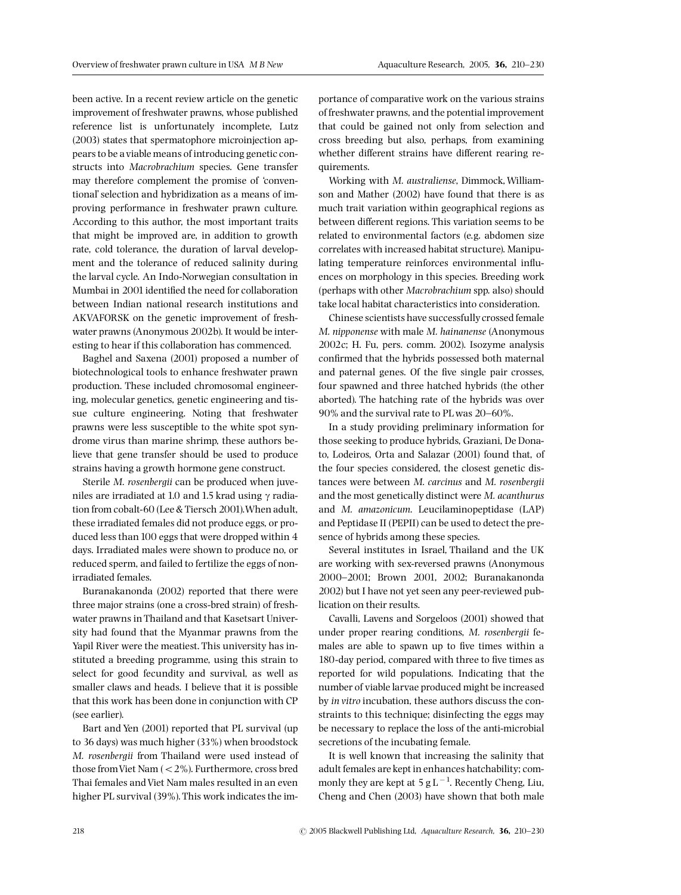been active. In a recent review article on the genetic improvement of freshwater prawns, whose published reference list is unfortunately incomplete, Lutz (2003) states that spermatophore microinjection appears to be a viable means of introducing genetic constructs into Macrobrachium species. Gene transfer may therefore complement the promise of 'conventional' selection and hybridization as a means of improving performance in freshwater prawn culture. According to this author, the most important traits that might be improved are, in addition to growth rate, cold tolerance, the duration of larval development and the tolerance of reduced salinity during the larval cycle. An Indo-Norwegian consultation in Mumbai in 2001 identified the need for collaboration between Indian national research institutions and AKVAFORSK on the genetic improvement of freshwater prawns (Anonymous 2002b). It would be interesting to hear if this collaboration has commenced.

Baghel and Saxena (2001) proposed a number of biotechnological tools to enhance freshwater prawn production. These included chromosomal engineering, molecular genetics, genetic engineering and tissue culture engineering. Noting that freshwater prawns were less susceptible to the white spot syndrome virus than marine shrimp, these authors believe that gene transfer should be used to produce strains having a growth hormone gene construct.

Sterile M. rosenbergii can be produced when juveniles are irradiated at 1.0 and 1.5 krad using *g* radiation from cobalt-60 (Lee & Tiersch 2001).When adult, these irradiated females did not produce eggs, or produced less than 100 eggs that were dropped within 4 days. Irradiated males were shown to produce no, or reduced sperm, and failed to fertilize the eggs of nonirradiated females.

Buranakanonda (2002) reported that there were three major strains (one a cross-bred strain) of freshwater prawns in Thailand and that Kasetsart University had found that the Myanmar prawns from the Yapil River were the meatiest. This university has instituted a breeding programme, using this strain to select for good fecundity and survival, as well as smaller claws and heads. I believe that it is possible that this work has been done in conjunction with CP (see earlier).

Bart and Yen (2001) reported that PL survival (up to 36 days) was much higher (33%) when broodstock M. rosenbergii from Thailand were used instead of those from Viet Nam (<2%). Furthermore, cross bred Thai females andViet Nam males resulted in an even higher PL survival (39%). This work indicates the importance of comparative work on the various strains of freshwater prawns, and the potential improvement that could be gained not only from selection and cross breeding but also, perhaps, from examining whether different strains have different rearing requirements.

Working with M. australiense, Dimmock, Williamson and Mather (2002) have found that there is as much trait variation within geographical regions as between different regions. This variation seems to be related to environmental factors (e.g. abdomen size correlates with increased habitat structure). Manipulating temperature reinforces environmental influences on morphology in this species. Breeding work (perhaps with other Macrobrachium spp. also) should take local habitat characteristics into consideration.

Chinese scientists have successfully crossed female M. nipponense with male M. hainanense (Anonymous 2002c; H. Fu, pers. comm. 2002). Isozyme analysis confirmed that the hybrids possessed both maternal and paternal genes. Of the five single pair crosses, four spawned and three hatched hybrids (the other aborted). The hatching rate of the hybrids was over 90% and the survival rate to PL was 20-60%.

In a study providing preliminary information for those seeking to produce hybrids, Graziani, De Donato, Lodeiros, Orta and Salazar (2001) found that, of the four species considered, the closest genetic distances were between M. carcinus and M. rosenbergii and the most genetically distinct were M. acanthurus and M. amazonicum. Leucilaminopeptidase (LAP) and Peptidase II (PEPII) can be used to detect the presence of hybrids among these species.

Several institutes in Israel, Thailand and the UK are working with sex-reversed prawns (Anonymous 2000-2001; Brown 2001, 2002; Buranakanonda 2002) but I have not yet seen any peer-reviewed publication on their results.

Cavalli, Lavens and Sorgeloos (2001) showed that under proper rearing conditions, M. rosenbergii females are able to spawn up to five times within a 180-day period, compared with three to five times as reported for wild populations. Indicating that the number of viable larvae produced might be increased by in vitro incubation, these authors discuss the constraints to this technique; disinfecting the eggs may be necessary to replace the loss of the anti-microbial secretions of the incubating female.

It is well known that increasing the salinity that adult females are kept in enhances hatchability; commonly they are kept at  $5 g L^{-1}$ . Recently Cheng, Liu, Cheng and Chen (2003) have shown that both male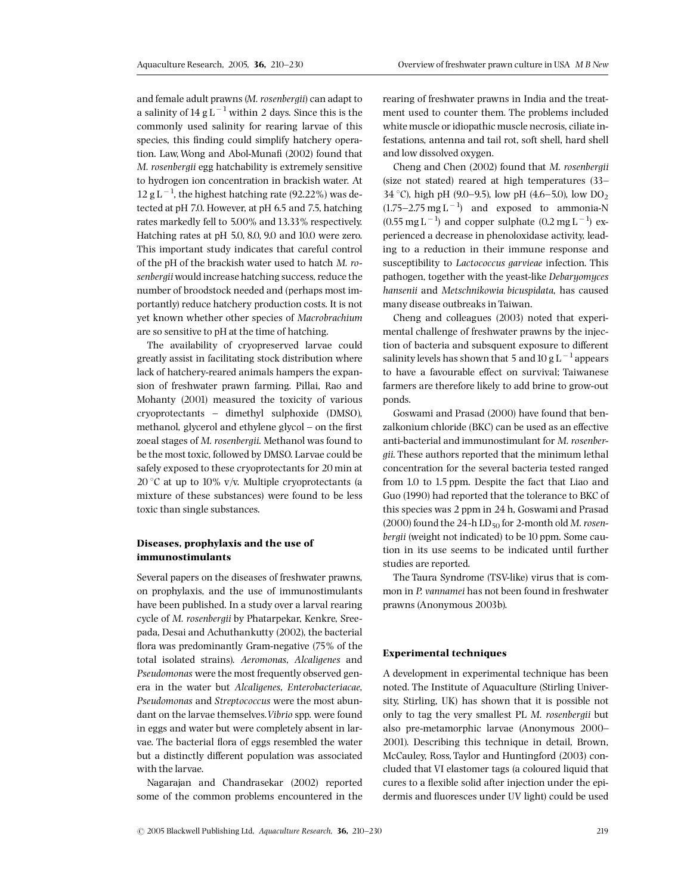and female adult prawns (M. rosenbergii) can adapt to a salinity of  $14 \text{ g L}^{-1}$  within 2 days. Since this is the commonly used salinity for rearing larvae of this species, this finding could simplify hatchery operation. Law, Wong and Abol-Munafi (2002) found that M. rosenbergii egg hatchability is extremely sensitive to hydrogen ion concentration in brackish water. At  $12$  g L<sup>-1</sup>, the highest hatching rate (92.22%) was detected at pH 7.0. However, at pH 6.5 and 7.5, hatching rates markedly fell to 5.00% and 13.33% respectively. Hatching rates at pH 5.0, 8.0, 9.0 and 10.0 were zero. This important study indicates that careful control of the pH of the brackish water used to hatch M. rosenbergii would increase hatching success, reduce the number of broodstock needed and (perhaps most importantly) reduce hatchery production costs. It is not yet known whether other species of Macrobrachium are so sensitive to pH at the time of hatching.

The availability of cryopreserved larvae could greatly assist in facilitating stock distribution where lack of hatchery-reared animals hampers the expansion of freshwater prawn farming. Pillai, Rao and Mohanty (2001) measured the toxicity of various  $croyoprotectants - dimethyl sulphoxide (DMSO),$ methanol, glycerol and ethylene glycol  $-$  on the first zoeal stages of M. rosenbergii. Methanol was found to be the most toxic, followed by DMSO. Larvae could be safely exposed to these cryoprotectants for 20 min at 20 °C at up to 10% v/v. Multiple cryoprotectants (a mixture of these substances) were found to be less toxic than single substances.

# Diseases, prophylaxis and the use of immunostimulants

Several papers on the diseases of freshwater prawns, on prophylaxis, and the use of immunostimulants have been published. In a study over a larval rearing cycle of M. rosenbergii by Phatarpekar, Kenkre, Sreepada, Desai and Achuthankutty (2002), the bacterial flora was predominantly Gram-negative  $(75\%$  of the total isolated strains). Aeromonas, Alcaligenes and Pseudomonas were the most frequently observed genera in the water but Alcaligenes, Enterobacteriacae, Pseudomonas and Streptococcus were the most abundant on the larvae themselves. Vibrio spp. were found in eggs and water but were completely absent in larvae. The bacterial flora of eggs resembled the water but a distinctly different population was associated with the larvae.

Nagarajan and Chandrasekar (2002) reported some of the common problems encountered in the rearing of freshwater prawns in India and the treatment used to counter them. The problems included white muscle or idiopathic muscle necrosis, ciliate infestations, antenna and tail rot, soft shell, hard shell and low dissolved oxygen.

Cheng and Chen (2002) found that M. rosenbergii (size not stated) reared at high temperatures (33^ 34 °C), high pH (9.0–9.5), low pH (4.6–5.0), low DO<sub>2</sub>  $(1.75-2.75 \text{ mg L}^{-1})$  and exposed to ammonia-N  $(0.55 \text{ mg L}^{-1})$  and copper sulphate  $(0.2 \text{ mg L}^{-1})$  experienced a decrease in phenoloxidase activity, leading to a reduction in their immune response and susceptibility to Lactococcus garvieae infection. This pathogen, together with the yeast-like Debaryomyces hansenii and Metschnikowia bicuspidata, has caused many disease outbreaks in Taiwan.

Cheng and colleagues (2003) noted that experimental challenge of freshwater prawns by the injection of bacteria and subsquent exposure to different salinity levels has shown that 5 and 10 g L $^{-1}$  appears to have a favourable effect on survival; Taiwanese farmers are therefore likely to add brine to grow-out ponds.

Goswami and Prasad (2000) have found that benzalkonium chloride (BKC) can be used as an effective anti-bacterial and immunostimulant for M. rosenbergii. These authors reported that the minimum lethal concentration for the several bacteria tested ranged from 1.0 to 1.5 ppm. Despite the fact that Liao and Guo (1990) had reported that the tolerance to BKC of this species was 2 ppm in 24 h, Goswami and Prasad (2000) found the 24-h  $LD_{50}$  for 2-month old M. rosenbergii (weight not indicated) to be 10 ppm. Some caution in its use seems to be indicated until further studies are reported.

The Taura Syndrome (TSV-like) virus that is common in P. vannamei has not been found in freshwater prawns (Anonymous 2003b).

## Experimental techniques

A development in experimental technique has been noted. The Institute of Aquaculture (Stirling University, Stirling, UK) has shown that it is possible not only to tag the very smallest PL M. rosenbergii but also pre-metamorphic larvae (Anonymous 2000^ 2001). Describing this technique in detail, Brown, McCauley, Ross, Taylor and Huntingford (2003) concluded that VI elastomer tags (a coloured liquid that cures to a flexible solid after injection under the epidermis and fluoresces under UV light) could be used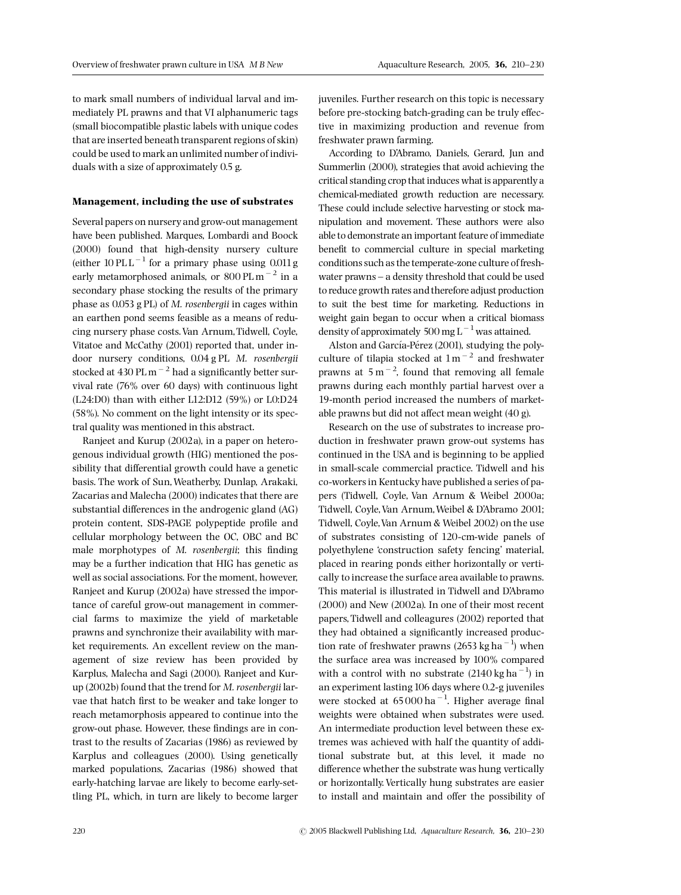to mark small numbers of individual larval and immediately PL prawns and that VI alphanumeric tags (small biocompatible plastic labels with unique codes that are inserted beneath transparent regions of skin) could be used to mark an unlimited number of individuals with a size of approximately 0.5 g.

## Management, including the use of substrates

Several papers on nursery and grow-out management have been published. Marques, Lombardi and Boock (2000) found that high-density nursery culture (either 10 PL L $^{-1}$  for a primary phase using 0.011 g early metamorphosed animals, or  $800 \text{ PL m}^{-2}$  in a secondary phase stocking the results of the primary phase as  $0.053$  g PL) of *M. rosenbergii* in cages within an earthen pond seems feasible as a means of reducing nursery phase costs.Van Arnum,Tidwell, Coyle, Vitatoe and McCathy (2001) reported that, under indoor nursery conditions, 0.04 g PL M. rosenbergii stocked at 430 PL m<sup> $-2$ </sup> had a significantly better survival rate (76% over 60 days) with continuous light (L24:D0) than with either L12:D12 (59%) or L0:D24 (58%). No comment on the light intensity or its spectral quality was mentioned in this abstract.

Ranjeet and Kurup (2002a), in a paper on heterogenous individual growth (HIG) mentioned the possibility that differential growth could have a genetic basis. The work of Sun,Weatherby, Dunlap, Arakaki, Zacarias and Malecha (2000) indicates that there are substantial differences in the androgenic gland (AG) protein content, SDS-PAGE polypeptide profile and cellular morphology between the OC, OBC and BC male morphotypes of M. rosenbergii; this finding may be a further indication that HIG has genetic as well as social associations. For the moment, however, Ranjeet and Kurup (2002a) have stressed the importance of careful grow-out management in commercial farms to maximize the yield of marketable prawns and synchronize their availability with market requirements. An excellent review on the management of size review has been provided by Karplus, Malecha and Sagi (2000). Ranjeet and Kurup (2002b) found that the trend for M. rosenbergii larvae that hatch first to be weaker and take longer to reach metamorphosis appeared to continue into the grow-out phase. However, these findings are in contrast to the results of Zacarias (1986) as reviewed by Karplus and colleagues (2000). Using genetically marked populations, Zacarias (1986) showed that early-hatching larvae are likely to become early-settling PL, which, in turn are likely to become larger

juveniles. Further research on this topic is necessary before pre-stocking batch-grading can be truly effective in maximizing production and revenue from freshwater prawn farming.

According to D'Abramo, Daniels, Gerard, Jun and Summerlin (2000), strategies that avoid achieving the critical standing crop that induces what is apparently a chemical-mediated growth reduction are necessary. These could include selective harvesting or stock manipulation and movement. These authors were also able to demonstrate an important feature of immediate benefit to commercial culture in special marketing conditions such as the temperate-zone culture of freshwater prawns - a density threshold that could be used to reduce growth rates and therefore adjust production to suit the best time for marketing. Reductions in weight gain began to occur when a critical biomass density of approximately 500 mg  $L^{-1}$  was attained.

Alston and García-Pérez (2001), studying the polyculture of tilapia stocked at  $1 \text{ m}^{-2}$  and freshwater prawns at  $5 \text{ m}^{-2}$ , found that removing all female prawns during each monthly partial harvest over a 19-month period increased the numbers of marketable prawns but did not affect mean weight  $(40 g)$ .

Research on the use of substrates to increase production in freshwater prawn grow-out systems has continued in the USA and is beginning to be applied in small-scale commercial practice. Tidwell and his co-workers in Kentucky have published a series of papers (Tidwell, Coyle, Van Arnum & Weibel 2000a; Tidwell, Coyle,Van Arnum,Weibel & D'Abramo 2001; Tidwell, Coyle,Van Arnum & Weibel 2002) on the use of substrates consisting of 120-cm-wide panels of polyethylene 'construction safety fencing' material, placed in rearing ponds either horizontally or vertically to increase the surface area available to prawns. This material is illustrated in Tidwell and D'Abramo (2000) and New (2002a). In one of their most recent papers, Tidwell and colleagures (2002) reported that they had obtained a significantly increased production rate of freshwater prawns (2653 kg ha<sup>-1</sup>) when the surface area was increased by 100% compared with a control with no substrate  $(2140 \text{ kg ha}^{-1})$  in an experiment lasting106 days where 0.2-g juveniles were stocked at  $65000$  ha<sup>-1</sup>. Higher average final weights were obtained when substrates were used. An intermediate production level between these extremes was achieved with half the quantity of additional substrate but, at this level, it made no difference whether the substrate was hung vertically or horizontally. Vertically hung substrates are easier to install and maintain and offer the possibility of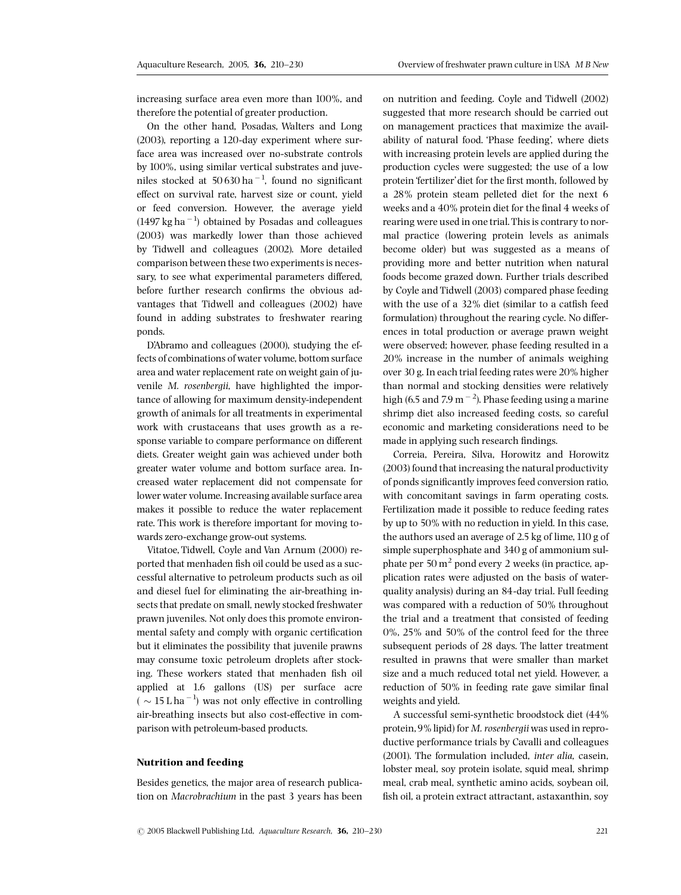increasing surface area even more than 100%, and therefore the potential of greater production.

On the other hand, Posadas, Walters and Long (2003), reporting a 120-day experiment where surface area was increased over no-substrate controls by 100%, using similar vertical substrates and juveniles stocked at  $50630$  ha<sup> $-1$ </sup>, found no significant effect on survival rate, harvest size or count, yield or feed conversion. However, the average yield  $(1497 \text{ kg ha}^{-1})$  obtained by Posadas and colleagues (2003) was markedly lower than those achieved by Tidwell and colleagues (2002). More detailed comparison between these two experiments is necessary, to see what experimental parameters differed. before further research confirms the obvious advantages that Tidwell and colleagues (2002) have found in adding substrates to freshwater rearing ponds.

D'Abramo and colleagues (2000), studying the effects of combinations of water volume, bottom surface area and water replacement rate on weight gain of juvenile M. rosenbergii, have highlighted the importance of allowing for maximum density-independent growth of animals for all treatments in experimental work with crustaceans that uses growth as a response variable to compare performance on different diets. Greater weight gain was achieved under both greater water volume and bottom surface area. Increased water replacement did not compensate for lower water volume. Increasing available surface area makes it possible to reduce the water replacement rate. This work is therefore important for moving towards zero-exchange grow-out systems.

Vitatoe, Tidwell, Coyle and Van Arnum (2000) reported that menhaden fish oil could be used as a successful alternative to petroleum products such as oil and diesel fuel for eliminating the air-breathing insects that predate on small, newly stocked freshwater prawn juveniles. Not only does this promote environmental safety and comply with organic certification but it eliminates the possibility that juvenile prawns may consume toxic petroleum droplets after stocking. These workers stated that menhaden fish oil applied at 1.6 gallons (US) per surface acre (  $\sim 15$  L ha<sup>-1</sup>) was not only effective in controlling air-breathing insects but also cost-effective in comparison with petroleum-based products.

## Nutrition and feeding

Besides genetics, the major area of research publication on Macrobrachium in the past 3 years has been on nutrition and feeding. Coyle and Tidwell (2002) suggested that more research should be carried out on management practices that maximize the availability of natural food. 'Phase feeding', where diets with increasing protein levels are applied during the production cycles were suggested; the use of a low protein 'fertilizer' diet for the first month, followed by a 28% protein steam pelleted diet for the next 6 weeks and a 40% protein diet for the final 4 weeks of rearing were used in one trial. This is contrary to normal practice (lowering protein levels as animals become older) but was suggested as a means of providing more and better nutrition when natural foods become grazed down. Further trials described by Coyle and Tidwell (2003) compared phase feeding with the use of a  $32\%$  diet (similar to a catfish feed formulation) throughout the rearing cycle. No differences in total production or average prawn weight were observed; however, phase feeding resulted in a 20% increase in the number of animals weighing over 30 g. In each trial feeding rates were 20% higher than normal and stocking densities were relatively high (6.5 and 7.9 m  $^{-2}$ ). Phase feeding using a marine shrimp diet also increased feeding costs, so careful economic and marketing considerations need to be made in applying such research findings.

Correia, Pereira, Silva, Horowitz and Horowitz (2003) found that increasing the natural productivity of ponds significantly improves feed conversion ratio, with concomitant savings in farm operating costs. Fertilization made it possible to reduce feeding rates by up to 50% with no reduction in yield. In this case, the authors used an average of 2.5 kg of lime,110 g of simple superphosphate and 340 g of ammonium sulphate per  $50 \text{ m}^2$  pond every 2 weeks (in practice, application rates were adjusted on the basis of waterquality analysis) during an 84-day trial. Full feeding was compared with a reduction of 50% throughout the trial and a treatment that consisted of feeding 0%, 25% and 50% of the control feed for the three subsequent periods of 28 days. The latter treatment resulted in prawns that were smaller than market size and a much reduced total net yield. However, a reduction of 50% in feeding rate gave similar final weights and yield.

A successful semi-synthetic broodstock diet (44% protein,9% lipid) for M. rosenbergii was used in reproductive performance trials by Cavalli and colleagues (2001). The formulation included, inter alia, casein, lobster meal, soy protein isolate, squid meal, shrimp meal, crab meal, synthetic amino acids, soybean oil, fish oil, a protein extract attractant, astaxanthin, soy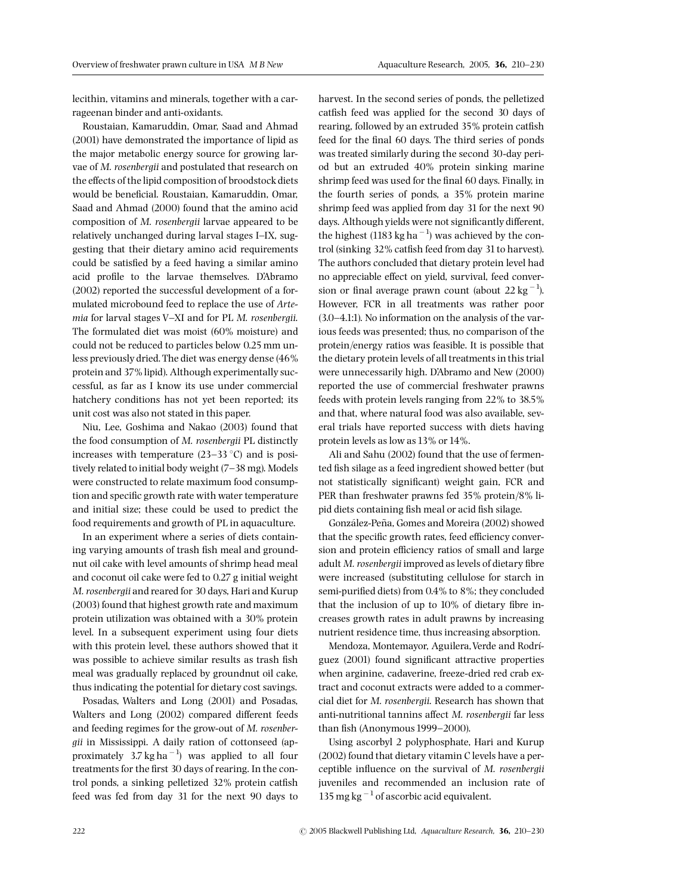lecithin, vitamins and minerals, together with a carrageenan binder and anti-oxidants.

Roustaian, Kamaruddin, Omar, Saad and Ahmad (2001) have demonstrated the importance of lipid as the major metabolic energy source for growing larvae of M. rosenbergii and postulated that research on the effects of the lipid composition of broodstock diets would be beneficial. Roustaian, Kamaruddin, Omar, Saad and Ahmad (2000) found that the amino acid composition of M. rosenbergii larvae appeared to be relatively unchanged during larval stages I^IX, suggesting that their dietary amino acid requirements could be satisfied by a feed having a similar amino acid profile to the larvae themselves. D'Abramo (2002) reported the successful development of a formulated microbound feed to replace the use of Arte $mia$  for larval stages V-XI and for PL M. rosenbergii. The formulated diet was moist (60% moisture) and could not be reduced to particles below 0.25 mm unless previously dried. The diet was energy dense (46% protein and 37% lipid). Although experimentally successful, as far as I know its use under commercial hatchery conditions has not yet been reported; its unit cost was also not stated in this paper.

Niu, Lee, Goshima and Nakao (2003) found that the food consumption of M. rosenbergii PL distinctly increases with temperature  $(23-33 \degree C)$  and is positively related to initial body weight (7-38 mg). Models were constructed to relate maximum food consumption and specific growth rate with water temperature and initial size; these could be used to predict the food requirements and growth of PL in aquaculture.

In an experiment where a series of diets containing varying amounts of trash fish meal and groundnut oil cake with level amounts of shrimp head meal and coconut oil cake were fed to 0.27 g initial weight M. rosenbergii and reared for 30 days, Hari and Kurup (2003) found that highest growth rate and maximum protein utilization was obtained with a 30% protein level. In a subsequent experiment using four diets with this protein level, these authors showed that it was possible to achieve similar results as trash fish meal was gradually replaced by groundnut oil cake, thus indicating the potential for dietary cost savings.

Posadas, Walters and Long (2001) and Posadas, Walters and Long (2002) compared different feeds and feeding regimes for the grow-out of M. rosenbergii in Mississippi. A daily ration of cottonseed (approximately  $3.7 \text{ kg ha}^{-1}$  was applied to all four treatments for the first 30 days of rearing. In the control ponds, a sinking pelletized  $32\%$  protein catfish feed was fed from day 31 for the next 90 days to

harvest. In the second series of ponds, the pelletized catfish feed was applied for the second 30 days of rearing, followed by an extruded 35% protein catfish feed for the final 60 days. The third series of ponds was treated similarly during the second 30-day period but an extruded 40% protein sinking marine shrimp feed was used for the final 60 days. Finally, in the fourth series of ponds, a 35% protein marine shrimp feed was applied from day 31 for the next 90 days. Although yields were not significantly different, the highest (1183 kg ha $^{-1}$ ) was achieved by the control (sinking 32% catfish feed from day 31 to harvest). The authors concluded that dietary protein level had no appreciable effect on yield, survival, feed conversion or final average prawn count (about 22 kg $^{-1}$ ). However, FCR in all treatments was rather poor  $(3.0-4.1:1)$ . No information on the analysis of the various feeds was presented; thus, no comparison of the protein/energy ratios was feasible. It is possible that the dietary protein levels of all treatments in this trial were unnecessarily high. D'Abramo and New (2000) reported the use of commercial freshwater prawns feeds with protein levels ranging from 22% to 38.5% and that, where natural food was also available, several trials have reported success with diets having protein levels as low as 13% or 14%.

Ali and Sahu (2002) found that the use of fermented fish silage as a feed ingredient showed better (but not statistically significant) weight gain, FCR and PER than freshwater prawns fed 35% protein/8% lipid diets containing fish meal or acid fish silage.

González-Peña, Gomes and Moreira (2002) showed that the specific growth rates, feed efficiency conversion and protein efficiency ratios of small and large adult M. rosenbergii improved as levels of dietary fibre were increased (substituting cellulose for starch in semi-purified diets) from 0.4% to 8%; they concluded that the inclusion of up to  $10\%$  of dietary fibre increases growth rates in adult prawns by increasing nutrient residence time, thus increasing absorption.

Mendoza, Montemayor, Aguilera, Verde and Rodríguez (2001) found significant attractive properties when arginine, cadaverine, freeze-dried red crab extract and coconut extracts were added to a commercial diet for M. rosenbergii. Research has shown that anti-nutritional tannins affect M. rosenbergii far less than fish (Anonymous 1999 $-2000$ ).

Using ascorbyl 2 polyphosphate, Hari and Kurup (2002) found that dietary vitamin C levels have a perceptible influence on the survival of M. rosenbergii juveniles and recommended an inclusion rate of 135 mg kg $^{-1}$  of ascorbic acid equivalent.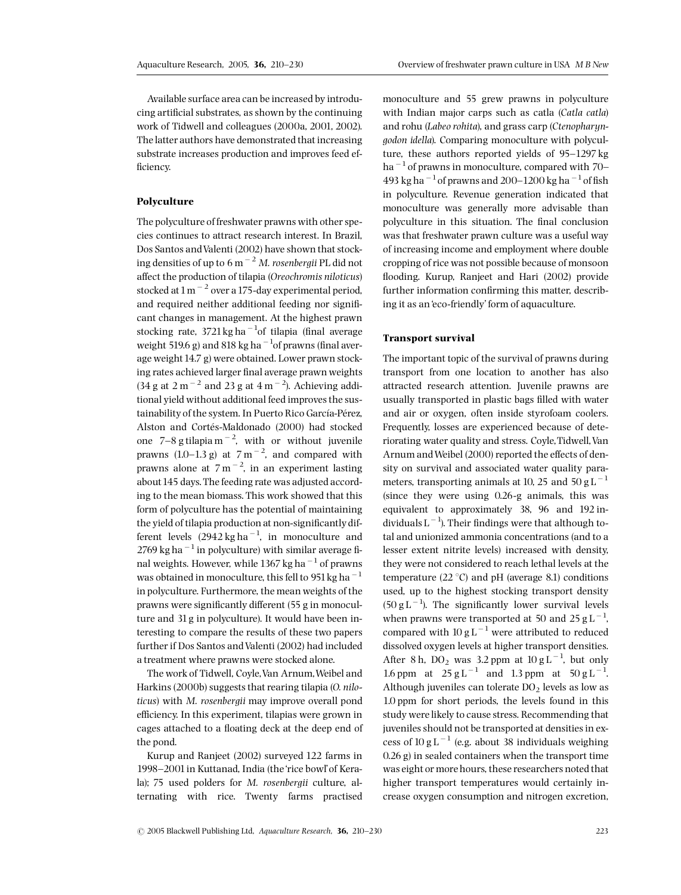Available surface area can be increased by introducing artificial substrates, as shown by the continuing work of Tidwell and colleagues (2000a, 2001, 2002). The latter authors have demonstrated that increasing substrate increases production and improves feed ef ficiency.

#### Polyculture

The polyculture of freshwater prawns with other species continues to attract research interest. In Brazil, Dos Santos and Valenti (2002) have shown that stocking densities of up to 6 m<sup> $-2$ </sup> M. rosenbergii PL did not affect the production of tilapia (Oreochromis niloticus) stocked at  $1\,\mathrm{m}^{-2}$  over a 175-day experimental period, and required neither additional feeding nor significant changes in management. At the highest prawn stocking rate,  $3721 \text{ kg}$  ha $^{-1}$ of tilapia (final average weight 519.6 g) and 818 kg ha $^{-1}$ of prawns (final average weight 14.7 g) were obtained. Lower prawn stocking rates achieved larger final average prawn weights  $(34 g at 2 m<sup>-2</sup> and 23 g at 4 m<sup>-2</sup>).$  Achieving additional yield without additional feed improves the sustainability of the system. In Puerto Rico García-Pérez, Alston and Cortés-Maldonado (2000) had stocked one  $7-8$  g tilapia m<sup>-2</sup>, with or without juvenile prawns  $(1.0-1.3 \text{ g})$  at  $7 \text{ m}^{-2}$ , and compared with prawns alone at  $7 \text{ m}^{-2}$ , in an experiment lasting about 145 days. The feeding rate was adjusted according to the mean biomass. This work showed that this form of polyculture has the potential of maintaining the yield of tilapia production at non-significantly different levels  $(2942 \text{ kg ha}^{-1})$ , in monoculture and 2769 kg ha<sup> $-1$ </sup> in polyculture) with similar average final weights. However, while 1367 kg ha<sup> $-1$ </sup> of prawns was obtained in monoculture, this fell to 951 kg ha<sup> $-1$ </sup> in polyculture. Furthermore, the mean weights of the prawns were significantly different (55 g in monoculture and 31g in polyculture). It would have been interesting to compare the results of these two papers further if Dos Santos and Valenti (2002) had included a treatment where prawns were stocked alone.

The work of Tidwell, Coyle,Van Arnum,Weibel and Harkins (2000b) suggests that rearing tilapia (O. niloticus) with M. rosenbergii may improve overall pond efficiency. In this experiment, tilapias were grown in cages attached to a floating deck at the deep end of the pond.

Kurup and Ranjeet (2002) surveyed 122 farms in 1998-2001 in Kuttanad, India (the 'rice bowl' of Kerala); 75 used polders for M. rosenbergii culture, alternating with rice. Twenty farms practised monoculture and 55 grew prawns in polyculture with Indian major carps such as catla (Catla catla) and rohu (Labeo rohita), and grass carp (Ctenopharyngodon idella). Comparing monoculture with polyculture, these authors reported yields of 95-1297 kg ha<sup> $-1$ </sup> of prawns in monoculture, compared with 70– 493 kg ha<sup> $-1$ </sup> of prawns and 200-1200 kg ha $^{-1}$  of fish in polyculture. Revenue generation indicated that monoculture was generally more advisable than polyculture in this situation. The final conclusion was that freshwater prawn culture was a useful way of increasing income and employment where double cropping of rice was not possible because of monsoon flooding. Kurup, Ranjeet and Hari (2002) provide further information confirming this matter, describing it as an'eco-friendly' form of aquaculture.

## Transport survival

The important topic of the survival of prawns during transport from one location to another has also attracted research attention. Juvenile prawns are usually transported in plastic bags ¢lled with water and air or oxygen, often inside styrofoam coolers. Frequently, losses are experienced because of deteriorating water quality and stress. Coyle,Tidwell,Van Arnum and Weibel (2000) reported the effects of density on survival and associated water quality parameters, transporting animals at 10, 25 and 50 g L<sup> $-1$ </sup> (since they were using 0.26-g animals, this was equivalent to approximately 38, 96 and 192 individuals L  $^{-1}$ ). Their findings were that although total and unionized ammonia concentrations (and to a lesser extent nitrite levels) increased with density, they were not considered to reach lethal levels at the temperature  $(22 \degree C)$  and pH (average 8.1) conditions used, up to the highest stocking transport density  $(50 g L^{-1})$ . The significantly lower survival levels when prawns were transported at 50 and 25  $g L^{-1}$ , compared with  $10\:{\rm g\:L}^{-1}$  were attributed to reduced dissolved oxygen levels at higher transport densities. After 8 h,  $DO<sub>2</sub>$  was 3.2 ppm at  $10 g L<sup>-1</sup>$ , but only 1.6 ppm at  $25 g L^{-1}$  and 1.3 ppm at  $50 g L^{-1}$ . Although juveniles can tolerate  $DO<sub>2</sub>$  levels as low as 1.0 ppm for short periods, the levels found in this study were likely to cause stress. Recommending that juveniles should not be transported at densities in excess of 10 g L<sup> $-1$ </sup> (e.g. about 38 individuals weighing 0.26 g) in sealed containers when the transport time was eight or more hours, these researchers noted that higher transport temperatures would certainly increase oxygen consumption and nitrogen excretion,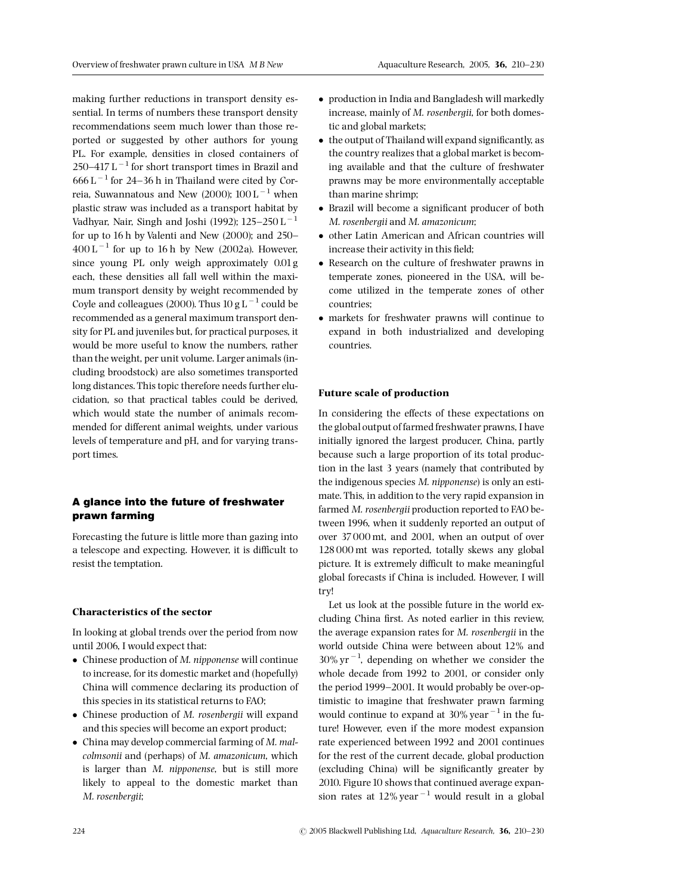making further reductions in transport density essential. In terms of numbers these transport density recommendations seem much lower than those reported or suggested by other authors for young PL. For example, densities in closed containers of 250–417 L $^{-1}$  for short transport times in Brazil and  $666 \mathrm{L}^{-1}$  for 24-36 h in Thailand were cited by Correia, Suwannatous and New (2000);  $100 L^{-1}$  when plastic straw was included as a transport habitat by Vadhyar, Nair, Singh and Joshi (1992);  $125-250$  L<sup>-1</sup> for up to  $16$  h by Valenti and New  $(2000)$ ; and  $250 400 \mathrm{L}^{-1}$  for up to 16 h by New (2002a). However, since young PL only weigh approximately 0.01g each, these densities all fall well within the maximum transport density by weight recommended by Coyle and colleagues (2000). Thus 10 g  $L^{-1}$  could be recommended as a general maximum transport density for PL and juveniles but, for practical purposes, it would be more useful to know the numbers, rather than the weight, per unit volume. Larger animals (including broodstock) are also sometimes transported long distances. This topic therefore needs further elucidation, so that practical tables could be derived, which would state the number of animals recommended for different animal weights, under various levels of temperature and pH, and for varying transport times.

# A glance into the future of freshwater prawn farming

Forecasting the future is little more than gazing into a telescope and expecting. However, it is difficult to resist the temptation.

## Characteristics of the sector

In looking at global trends over the period from now until 2006, I would expect that:

- Chinese production of M. nipponense will continue to increase, for its domestic market and (hopefully) China will commence declaring its production of this species in its statistical returns to FAO;
- Chinese production of *M. rosenbergii* will expand and this species will become an export product;
- China may develop commercial farming of M. malcolmsonii and (perhaps) of M. amazonicum, which is larger than M. nipponense, but is still more likely to appeal to the domestic market than M. rosenbergii;
- production in India and Bangladesh will markedly increase, mainly of M. rosenbergii, for both domestic and global markets;
- $\bullet$  the output of Thailand will expand significantly, as the country realizes that a global market is becoming available and that the culture of freshwater prawns may be more environmentally acceptable than marine shrimp;
- Brazil will become a significant producer of both M. rosenbergii and M. amazonicum;
- other Latin American and African countries will increase their activity in this field;
- Research on the culture of freshwater prawns in temperate zones, pioneered in the USA, will become utilized in the temperate zones of other countries;
- markets for freshwater prawns will continue to expand in both industrialized and developing countries.

## Future scale of production

In considering the effects of these expectations on the global output of farmed freshwater prawns, I have initially ignored the largest producer, China, partly because such a large proportion of its total production in the last 3 years (namely that contributed by the indigenous species M. nipponense) is only an estimate. This, in addition to the very rapid expansion in farmed M. rosenbergii production reported to FAO between 1996, when it suddenly reported an output of over 37000 mt, and 2001, when an output of over 128000 mt was reported, totally skews any global picture. It is extremely difficult to make meaningful global forecasts if China is included. However, I will try!

Let us look at the possible future in the world excluding China first. As noted earlier in this review, the average expansion rates for M. rosenbergii in the world outside China were between about 12% and  $30\% \text{ yr}^{-1}$ , depending on whether we consider the whole decade from 1992 to 2001, or consider only the period 1999-2001. It would probably be over-optimistic to imagine that freshwater prawn farming would continue to expand at  $30\%$  year<sup> $-1$ </sup> in the future! However, even if the more modest expansion rate experienced between 1992 and 2001 continues for the rest of the current decade, global production (excluding China) will be significantly greater by 2010. Figure 10 shows that continued average expansion rates at  $12\%$  year<sup>-1</sup> would result in a global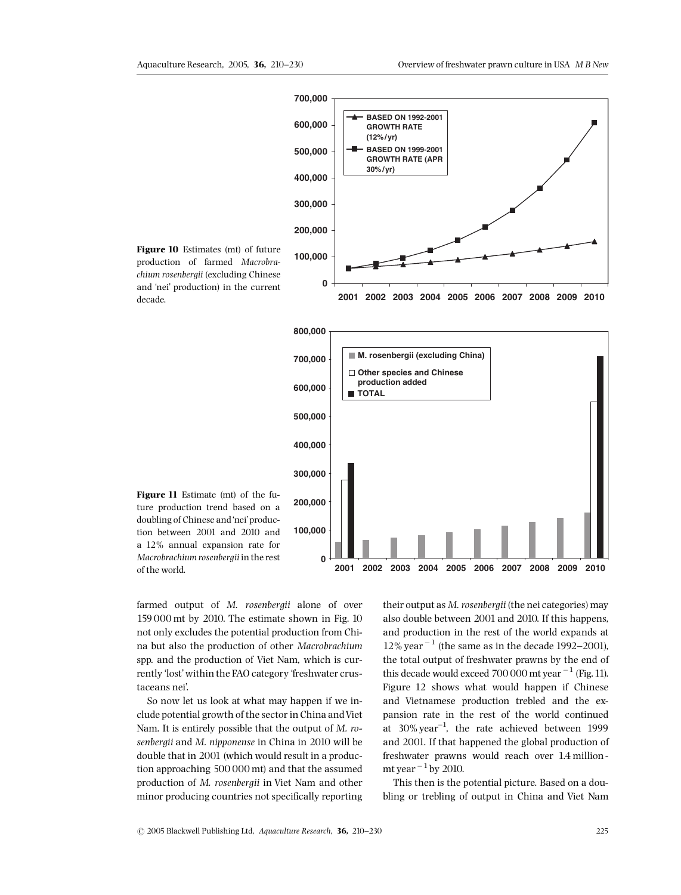

production of farmed Macrobrachium rosenbergii (excluding Chinese and 'nei' production) in the current decade.

Figure 10 Estimates (mt) of future

doubling of Chinese and'nei'production between 2001 and 2010 and a 12% annual expansion rate for Macrobrachium rosenbergii in the rest of the world.

Figure 11 Estimate (mt) of the future production trend based on a

farmed output of M. rosenbergii alone of over 159 000 mt by 2010. The estimate shown in Fig. 10 not only excludes the potential production from China but also the production of other Macrobrachium spp. and the production of Viet Nam, which is currently 'lost'within the FAO category 'freshwater crustaceans nei'.

So now let us look at what may happen if we include potential growth of the sector in China andViet Nam. It is entirely possible that the output of M. rosenbergii and M. nipponense in China in 2010 will be double that in 2001 (which would result in a production approaching 500 000 mt) and that the assumed production of M. rosenbergii in Viet Nam and other minor producing countries not specifically reporting

their output as M. rosenbergii (the nei categories) may also double between 2001 and 2010. If this happens, and production in the rest of the world expands at  $12\%$  year<sup> $-1$ </sup> (the same as in the decade 1992–2001), the total output of freshwater prawns by the end of this decade would exceed 700 000 mt year  $^{-1}$  (Fig. 11). Figure 12 shows what would happen if Chinese and Vietnamese production trebled and the expansion rate in the rest of the world continued at  $30\%$  year<sup>-1</sup>, the rate achieved between 1999 and 2001. If that happened the global production of freshwater prawns would reach over 1.4 million mt year  $^{-1}$  by 2010.

This then is the potential picture. Based on a doubling or trebling of output in China and Viet Nam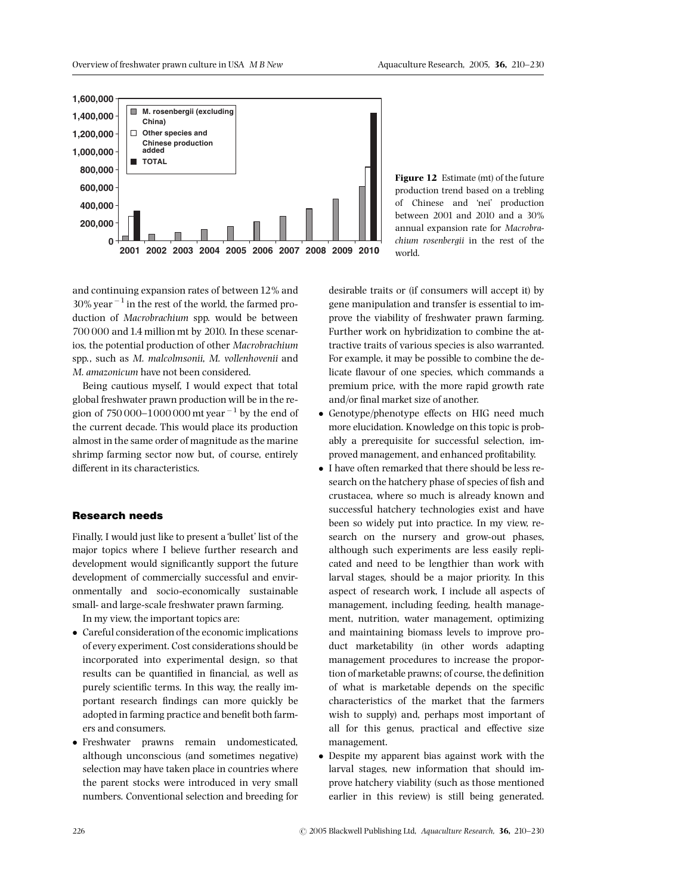

Figure 12 Estimate (mt) of the future production trend based on a trebling of Chinese and 'nei' production between 2001 and 2010 and a 30% annual expansion rate for Macrobrachium rosenbergii in the rest of the world.

and continuing expansion rates of between 12% and  $30\%$  year<sup> $-1$ </sup> in the rest of the world, the farmed production of Macrobrachium spp. would be between 700 000 and 1.4 million mt by 2010. In these scenarios, the potential production of other Macrobrachium spp., such as M. malcolmsonii, M. vollenhovenii and M. amazonicum have not been considered.

Being cautious myself, I would expect that total global freshwater prawn production will be in the region of 750 000–1000 000 mt year  $^{-1}$  by the end of the current decade. This would place its production almost in the same order of magnitude as the marine shrimp farming sector now but, of course, entirely different in its characteristics.

## Research needs

Finally, I would just like to present a'bullet' list of the major topics where I believe further research and development would significantly support the future development of commercially successful and environmentally and socio-economically sustainable small- and large-scale freshwater prawn farming.

In my view, the important topics are:

- Careful consideration of the economic implications of every experiment. Cost considerations should be incorporated into experimental design, so that results can be quantified in financial, as well as purely scientific terms. In this way, the really important research findings can more quickly be adopted in farming practice and benefit both farmers and consumers.
- Freshwater prawns remain undomesticated, although unconscious (and sometimes negative) selection may have taken place in countries where the parent stocks were introduced in very small numbers. Conventional selection and breeding for

desirable traits or (if consumers will accept it) by gene manipulation and transfer is essential to improve the viability of freshwater prawn farming. Further work on hybridization to combine the attractive traits of various species is also warranted. For example, it may be possible to combine the delicate flavour of one species, which commands a premium price, with the more rapid growth rate and/or final market size of another.

- $\bullet$  Genotype/phenotype effects on HIG need much more elucidation. Knowledge on this topic is probably a prerequisite for successful selection, improved management, and enhanced profitability.
- I have often remarked that there should be less research on the hatchery phase of species of fish and crustacea, where so much is already known and successful hatchery technologies exist and have been so widely put into practice. In my view, research on the nursery and grow-out phases, although such experiments are less easily replicated and need to be lengthier than work with larval stages, should be a major priority. In this aspect of research work, I include all aspects of management, including feeding, health management, nutrition, water management, optimizing and maintaining biomass levels to improve product marketability (in other words adapting management procedures to increase the proportion of marketable prawns; of course, the definition of what is marketable depends on the specific characteristics of the market that the farmers wish to supply) and, perhaps most important of all for this genus, practical and effective size management.
- Despite my apparent bias against work with the larval stages, new information that should improve hatchery viability (such as those mentioned earlier in this review) is still being generated.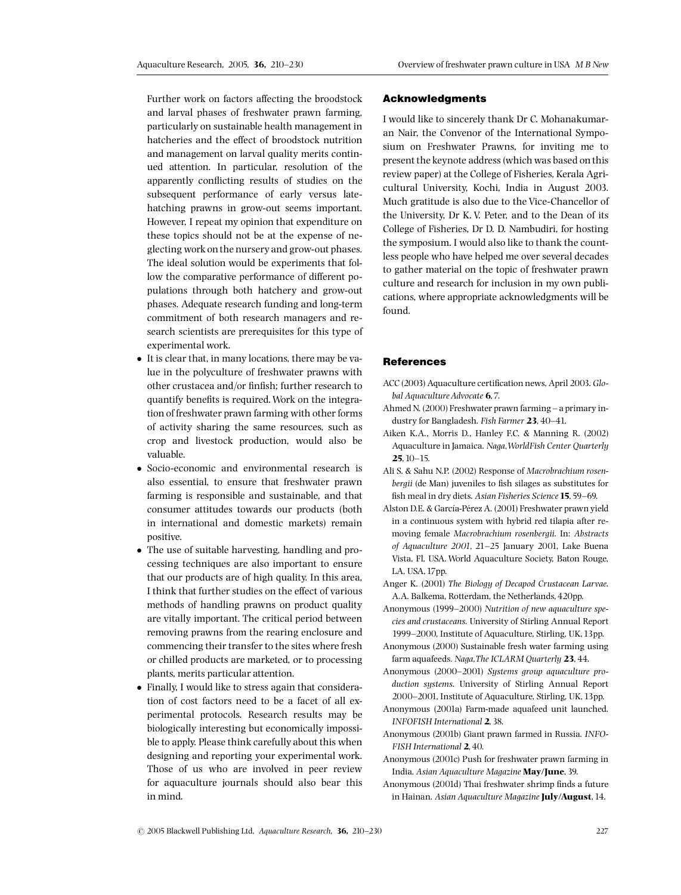Further work on factors affecting the broodstock and larval phases of freshwater prawn farming, particularly on sustainable health management in hatcheries and the effect of broodstock nutrition and management on larval quality merits continued attention. In particular, resolution of the apparently conflicting results of studies on the subsequent performance of early versus latehatching prawns in grow-out seems important. However, I repeat my opinion that expenditure on these topics should not be at the expense of neglecting work on the nursery and grow-out phases. The ideal solution would be experiments that follow the comparative performance of different populations through both hatchery and grow-out phases. Adequate research funding and long-term commitment of both research managers and research scientists are prerequisites for this type of experimental work.

- It is clear that, in many locations, there may be value in the polyculture of freshwater prawns with other crustacea and/or finfish; further research to quantify benefits is required. Work on the integration of freshwater prawn farming with other forms of activity sharing the same resources, such as crop and livestock production, would also be valuable.
- Socio-economic and environmental research is also essential, to ensure that freshwater prawn farming is responsible and sustainable, and that consumer attitudes towards our products (both in international and domestic markets) remain positive.
- The use of suitable harvesting, handling and processing techniques are also important to ensure that our products are of high quality. In this area, I think that further studies on the effect of various methods of handling prawns on product quality are vitally important. The critical period between removing prawns from the rearing enclosure and commencing their transfer to the sites where fresh or chilled products are marketed, or to processing plants, merits particular attention.
- Finally, I would like to stress again that consideration of cost factors need to be a facet of all experimental protocols. Research results may be biologically interesting but economically impossible to apply. Please think carefully about this when designing and reporting your experimental work. Those of us who are involved in peer review for aquaculture journals should also bear this in mind.

#### Acknowledgments

I would like to sincerely thank Dr C. Mohanakumaran Nair, the Convenor of the International Symposium on Freshwater Prawns, for inviting me to present the keynote address (which was based on this review paper) at the College of Fisheries, Kerala Agricultural University, Kochi, India in August 2003. Much gratitude is also due to the Vice-Chancellor of the University, Dr K. V. Peter, and to the Dean of its College of Fisheries, Dr D. D. Nambudiri, for hosting the symposium. I would also like to thank the countless people who have helped me over several decades to gather material on the topic of freshwater prawn culture and research for inclusion in my own publications, where appropriate acknowledgments will be found.

## **References**

- ACC (2003) Aquaculture certification news, April 2003. Global Aquaculture Advocate 6, 7.
- Ahmed N. (2000) Freshwater prawn farming a primary industry for Bangladesh. Fish Farmer 23, 40-41.
- Aiken K.A., Morris D., Hanley F.C. & Manning R. (2002) Aquaculture in Jamaica. Naga,WorldFish Center Quarterly 25,10^15.
- Ali S. & Sahu N.P. (2002) Response of Macrobrachium rosenbergii (de Man) juveniles to fish silages as substitutes for fish meal in dry diets. Asian Fisheries Science 15, 59-69.
- Alston D.E. & García-Pérez A. (2001) Freshwater prawn yield in a continuous system with hybrid red tilapia after removing female Macrobrachium rosenbergii. In: Abstracts of Aquaculture 2001, 21^25 January 2001, Lake Buena Vista, Fl, USA. World Aquaculture Society, Baton Rouge, LA, USA,17pp.
- Anger K. (2001) The Biology of Decapod Crustacean Larvae. A.A. Balkema, Rotterdam, the Netherlands, 420pp.
- Anonymous (1999-2000) Nutrition of new aquaculture species and crustaceans. University of Stirling Annual Report 1999^2000, Institute of Aquaculture, Stirling, UK,13pp.
- Anonymous (2000) Sustainable fresh water farming using farm aquafeeds. Naga,The ICLARM Quarterly 23, 44.
- Anonymous (2000-2001) Systems group aquaculture production systems. University of Stirling Annual Report 2000-2001, Institute of Aquaculture, Stirling, UK, 13pp.
- Anonymous (2001a) Farm-made aquafeed unit launched. INFOFISH International 2, 38.
- Anonymous (2001b) Giant prawn farmed in Russia. INFO-FISH International 2, 40.
- Anonymous (2001c) Push for freshwater prawn farming in India. Asian Aquaculture Magazine May/June, 39.
- Anonymous (2001d) Thai freshwater shrimp finds a future in Hainan. Asian Aquaculture Magazine July/August, 14.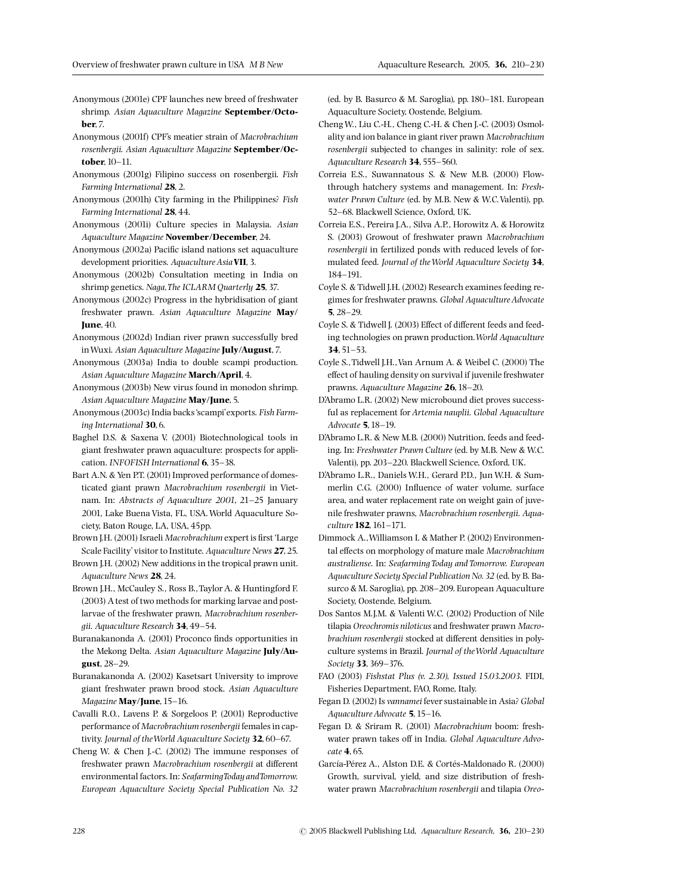Anonymous (2001e) CPF launches new breed of freshwater shrimp. Asian Aquaculture Magazine September/Octoher<sub>7</sub>

Anonymous (2001f) CPF's meatier strain of Macrobrachium rosenbergii. Asian Aquaculture Magazine September/October, 10-11.

- Anonymous (2001g) Filipino success on rosenbergii. Fish Farming International 28, 2.
- Anonymous (2001h) City farming in the Philippines? Fish Farming International 28, 44.
- Anonymous (2001i) Culture species in Malaysia. Asian Aquaculture Magazine November/December, 24.
- Anonymous (2002a) Pacific island nations set aquaculture development priorities. Aquaculture Asia VII, 3.

Anonymous (2002b) Consultation meeting in India on shrimp genetics. Naga,The ICLARM Quarterly 25, 37.

Anonymous (2002c) Progress in the hybridisation of giant freshwater prawn. Asian Aquaculture Magazine May/ **June, 40.** 

Anonymous (2002d) Indian river prawn successfully bred in Wuxi. Asian Aquaculture Magazine July/August, 7.

Anonymous (2003a) India to double scampi production. Asian Aquaculture Magazine March/April, 4.

Anonymous (2003b) New virus found in monodon shrimp. Asian Aquaculture Magazine May/June, 5.

Anonymous (2003c) India backs'scampi'exports. Fish Farming International 30,6.

Baghel D.S. & Saxena V. (2001) Biotechnological tools in giant freshwater prawn aquaculture: prospects for application. INFOFISH International 6, 35-38.

Bart A.N. & Yen P.T. (2001) Improved performance of domesticated giant prawn Macrobrachium rosenbergii in Vietnam. In: Abstracts of Aquaculture 2001, 21-25 January 2001, Lake Buena Vista, FL, USA.World Aquaculture Society, Baton Rouge, LA, USA, 45pp.

Brown J.H. (2001) Israeli Macrobrachium expert is first 'Large Scale Facility' visitor to Institute. Aquaculture News 27, 25.

Brown J.H. (2002) New additions in the tropical prawn unit. Aquaculture News 28, 24.

Brown J.H., McCauley S., Ross B.,Taylor A. & Huntingford F. (2003) A test of two methods for marking larvae and postlarvae of the freshwater prawn, Macrobrachium rosenbergii. Aquaculture Research 34, 49-54.

Buranakanonda A. (2001) Proconco finds opportunities in the Mekong Delta. Asian Aquaculture Magazine July/August, 28^29.

Buranakanonda A. (2002) Kasetsart University to improve giant freshwater prawn brood stock. Asian Aquaculture Magazine May/June, 15-16.

Cavalli R.O., Lavens P. & Sorgeloos P. (2001) Reproductive performance of Macrobrachium rosenbergii females in captivity. Journal of the World Aquaculture Society 32, 60-67.

Cheng W. & Chen J.-C. (2002) The immune responses of freshwater prawn Macrobrachium rosenbergii at different environmental factors. In: SeafarmingToday andTomorrow. European Aquaculture Society Special Publication No. 32

(ed. by B. Basurco & M. Saroglia), pp. 180^181. European Aquaculture Society, Oostende, Belgium.

- ChengW., Liu C.-H., Cheng C.-H. & Chen J.-C. (2003) Osmolality and ion balance in giant river prawn Macrobrachium rosenbergii subjected to changes in salinity: role of sex. Aquaculture Research 34, 555-560.
- Correia E.S., Suwannatous S. & New M.B. (2000) Flowthrough hatchery systems and management. In: Freshwater Prawn Culture (ed. by M.B. New & W.C.Valenti), pp. 52-68. Blackwell Science, Oxford, UK.
- Correia E.S., Pereira J.A., Silva A.P., Horowitz A. & Horowitz S. (2003) Growout of freshwater prawn Macrobrachium rosenbergii in fertilized ponds with reduced levels of formulated feed. Journal of theWorld Aquaculture Society 34, 184^191.
- Coyle S. & Tidwell J.H. (2002) Research examines feeding regimes for freshwater prawns. Global Aquaculture Advocate  $5, 28-29.$
- Coyle S. & Tidwell J. (2003) Effect of different feeds and feeding technologies on prawn production.World Aquaculture 34,  $51 - 53$ .
- Coyle S.,Tidwell J.H.,Van Arnum A. & Weibel C. (2000) The effect of hauling density on survival if juvenile freshwater prawns. Aquaculture Magazine 26, 18-20.
- D'Abramo L.R. (2002) New microbound diet proves successful as replacement for Artemia nauplii. Global Aquaculture Advocate **5**, 18-19.
- D'Abramo L.R. & New M.B. (2000) Nutrition, feeds and feeding. In: Freshwater Prawn Culture (ed. by M.B. New & W.C. Valenti), pp. 203^220. Blackwell Science, Oxford, UK.
- D'Abramo L.R., Daniels W.H., Gerard P.D., Jun W.H. & Summerlin C.G. (2000) Influence of water volume, surface area, and water replacement rate on weight gain of juvenile freshwater prawns, Macrobrachium rosenbergii. Aquaculture 182, 161-171.
- Dimmock A.,Williamson I. & Mather P. (2002) Environmental effects on morphology of mature male Macrobrachium australiense. In: Seafarming Today and Tomorrow. European Aquaculture Society Special Publication No.32 (ed. by B. Basurco & M. Saroglia), pp. 208-209. European Aquaculture Society, Oostende, Belgium.
- Dos Santos M.J.M. & Valenti W.C. (2002) Production of Nile tilapia Oreochromis niloticus and freshwater prawn Macrobrachium rosenbergii stocked at different densities in polyculture systems in Brazil. Journal of theWorld Aquaculture Society 33, 369-376.
- FAO (2003) Fishstat Plus (v. 2.30), Issued 15.03.2003. FIDI, Fisheries Department, FAO, Rome, Italy.
- Fegan D. (2002) Is vannamei fever sustainable in Asia? Global Aquaculture Advocate 5, 15-16.
- Fegan D. & Sriram R. (2001) Macrobrachium boom: freshwater prawn takes off in India. Global Aquaculture Advocate 4,65.
- García-Pérez A., Alston D.E. & Cortés-Maldonado R. (2000) Growth, survival, yield, and size distribution of freshwater prawn Macrobrachium rosenbergii and tilapia Oreo-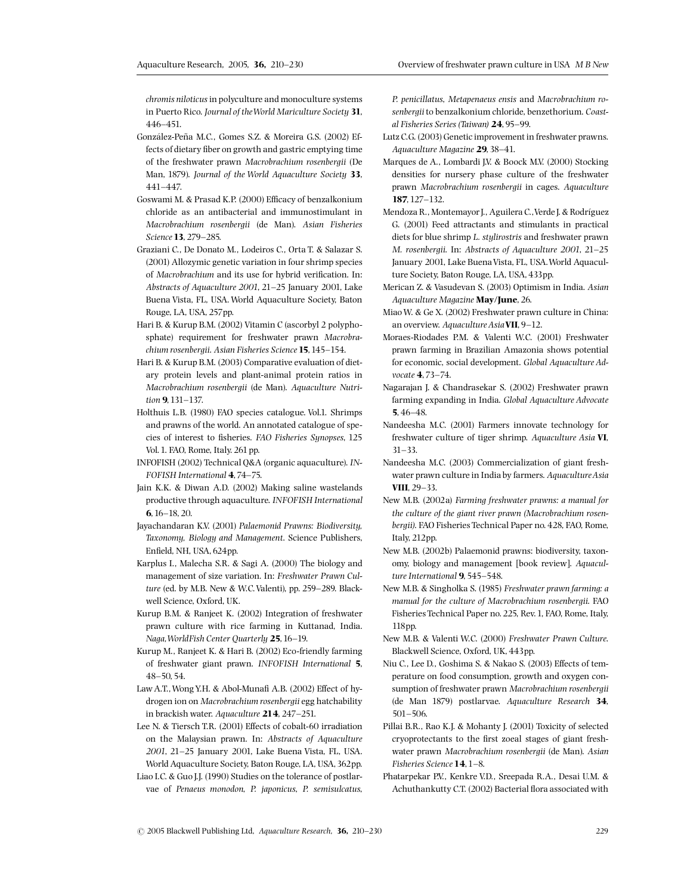chromis niloticus in polyculture and monoculture systems in Puerto Rico. Journal of theWorld Mariculture Society 31, 446^451.

- González-Peña M.C., Gomes S.Z. & Moreira G.S. (2002) Effects of dietary fiber on growth and gastric emptying time of the freshwater prawn Macrobrachium rosenbergii (De Man, 1879). Journal of the World Aquaculture Society 33, 441^447.
- Goswami M. & Prasad K.P. (2000) Efficacy of benzalkonium chloride as an antibacterial and immunostimulant in Macrobrachium rosenbergii (de Man). Asian Fisheries Science 13, 279-285.
- Graziani C., De Donato M., Lodeiros C., Orta T. & Salazar S. (2001) Allozymic genetic variation in four shrimp species of Macrobrachium and its use for hybrid verification. In: Abstracts of Aquaculture 2001, 21^25 January 2001, Lake Buena Vista, FL, USA. World Aquaculture Society, Baton Rouge, LA, USA, 257pp.
- Hari B. & Kurup B.M. (2002) Vitamin C (ascorbyl 2 polyphosphate) requirement for freshwater prawn Macrobrachium rosenbergii. Asian Fisheries Science 15, 145-154.
- Hari B. & Kurup B.M. (2003) Comparative evaluation of dietary protein levels and plant-animal protein ratios in Macrobrachium rosenbergii (de Man). Aquaculture Nutrition 9, 131-137.
- Holthuis L.B. (1980) FAO species catalogue. Vol.1. Shrimps and prawns of the world. An annotated catalogue of species of interest to fisheries. FAO Fisheries Synopses, 125 Vol.1. FAO, Rome, Italy. 261 pp.
- INFOFISH (2002) Technical Q&A (organic aquaculture). IN-FOFISH International 4, 74-75.
- Jain K.K. & Diwan A.D. (2002) Making saline wastelands productive through aquaculture. INFOFISH International 6,16^18, 20.
- Jayachandaran K.V. (2001) Palaemonid Prawns: Biodiversity, Taxonomy, Biology and Management. Science Publishers, Enfield, NH, USA, 624pp.
- Karplus I., Malecha S.R. & Sagi A. (2000) The biology and management of size variation. In: Freshwater Prawn Culture (ed. by M.B. New & W.C. Valenti), pp. 259-289. Blackwell Science, Oxford, UK.
- Kurup B.M. & Ranjeet K. (2002) Integration of freshwater prawn culture with rice farming in Kuttanad, India. Naga, WorldFish Center Quarterly 25, 16-19.
- Kurup M., Ranjeet K. & Hari B. (2002) Eco-friendly farming of freshwater giant prawn. INFOFISH International 5, 48^50,54.
- Law A.T., Wong Y.H. & Abol-Munafi A.B. (2002) Effect of hydrogen ion on Macrobrachium rosenbergii egg hatchability in brackish water. Aquaculture  $214$ ,  $247-251$ .
- Lee N. & Tiersch T.R. (2001) Effects of cobalt-60 irradiation on the Malaysian prawn. In: Abstracts of Aquaculture 2001, 21^25 January 2001, Lake Buena Vista, FL, USA. World Aquaculture Society, Baton Rouge, LA, USA,362pp.
- Liao I.C. & Guo J.J. (1990) Studies on the tolerance of postlarvae of Penaeus monodon, P. japonicus, P. semisulcatus,

P. penicillatus, Metapenaeus ensis and Macrobrachium rosenbergii to benzalkonium chloride, benzethorium. Coastal Fisheries Series (Taiwan) 24, 95^99.

- Lutz C.G. (2003) Genetic improvement in freshwater prawns. Aquaculture Magazine 29, 38-41.
- Marques de A., Lombardi J.V. & Boock M.V. (2000) Stocking densities for nursery phase culture of the freshwater prawn Macrobrachium rosenbergii in cages. Aquaculture 187,127^132.
- Mendoza R., Montemayor J., Aguilera C., Verde J. & Rodríguez G. (2001) Feed attractants and stimulants in practical diets for blue shrimp L. stylirostris and freshwater prawn M. rosenbergii. In: Abstracts of Aquaculture 2001, 21-25 January 2001, Lake Buena Vista, FL, USA. World Aquaculture Society, Baton Rouge, LA, USA, 433pp.
- Merican Z. & Vasudevan S. (2003) Optimism in India. Asian Aquaculture Magazine May/June, 26.
- MiaoW. & Ge X. (2002) Freshwater prawn culture in China: an overview. Aquaculture Asia VII, 9-12.
- Moraes-Riodades P.M. & Valenti W.C. (2001) Freshwater prawn farming in Brazilian Amazonia shows potential for economic, social development. Global Aquaculture Advocate 4,73-74.
- Nagarajan J. & Chandrasekar S. (2002) Freshwater prawn farming expanding in India. Global Aquaculture Advocate 5,  $46-48$ .
- Nandeesha M.C. (2001) Farmers innovate technology for freshwater culture of tiger shrimp. Aquaculture Asia VI,  $31 - 33.$
- Nandeesha M.C. (2003) Commercialization of giant freshwater prawn culture in India by farmers. AquacultureAsia VIII, 29-33.
- New M.B. (2002a) Farming freshwater prawns: a manual for the culture of the giant river prawn (Macrobrachium rosenbergii). FAO Fisheries Technical Paper no. 428, FAO, Rome, Italy, 212pp.
- New M.B. (2002b) Palaemonid prawns: biodiversity, taxonomy, biology and management [book review]. Aquaculture International 9, 545-548.
- New M.B. & Singholka S. (1985) Freshwater prawn farming: a manual for the culture of Macrobrachium rosenbergii. FAO Fisheries Technical Paper no. 225, Rev.1, FAO, Rome, Italy, 118pp.
- New M.B. & Valenti W.C. (2000) Freshwater Prawn Culture. Blackwell Science, Oxford, UK, 443pp.
- Niu C., Lee D., Goshima S. & Nakao S. (2003) Effects of temperature on food consumption, growth and oxygen consumption of freshwater prawn Macrobrachium rosenbergii (de Man 1879) postlarvae. Aquaculture Research 34,  $501 - 506$ .
- Pillai B.R., Rao K.J. & Mohanty J. (2001) Toxicity of selected cryoprotectants to the first zoeal stages of giant freshwater prawn Macrobrachium rosenbergii (de Man). Asian Fisheries Science 14, 1-8.
- Phatarpekar P.V., Kenkre V.D., Sreepada R.A., Desai U.M. & Achuthankutty C.T. (2002) Bacterial flora associated with